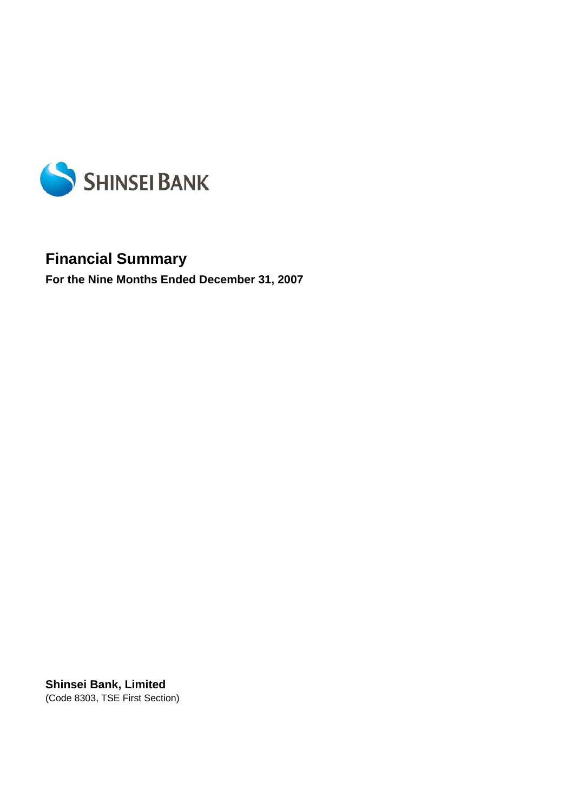

# **Financial Summary**

**For the Nine Months Ended December 31, 2007** 

**Shinsei Bank, Limited**  (Code 8303, TSE First Section)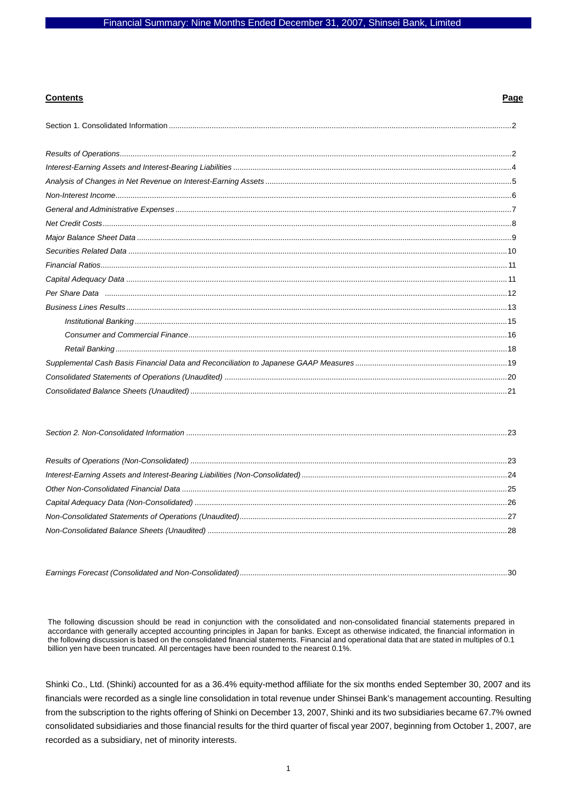#### **Contents Page**

The following discussion should be read in conjunction with the consolidated and non-consolidated financial statements prepared in accordance with generally accepted accounting principles in Japan for banks. Except as otherwise indicated, the financial information in the following discussion is based on the consolidated financial statements. Financial and operational data that are stated in multiples of 0.1 billion yen have been truncated. All percentages have been rounded to the nearest 0.1%.

Shinki Co., Ltd. (Shinki) accounted for as a 36.4% equity-method affiliate for the six months ended September 30, 2007 and its financials were recorded as a single line consolidation in total revenue under Shinsei Bank's management accounting. Resulting from the subscription to the rights offering of Shinki on December 13, 2007, Shinki and its two subsidiaries became 67.7% owned consolidated subsidiaries and those financial results for the third quarter of fiscal year 2007, beginning from October 1, 2007, are recorded as a subsidiary, net of minority interests.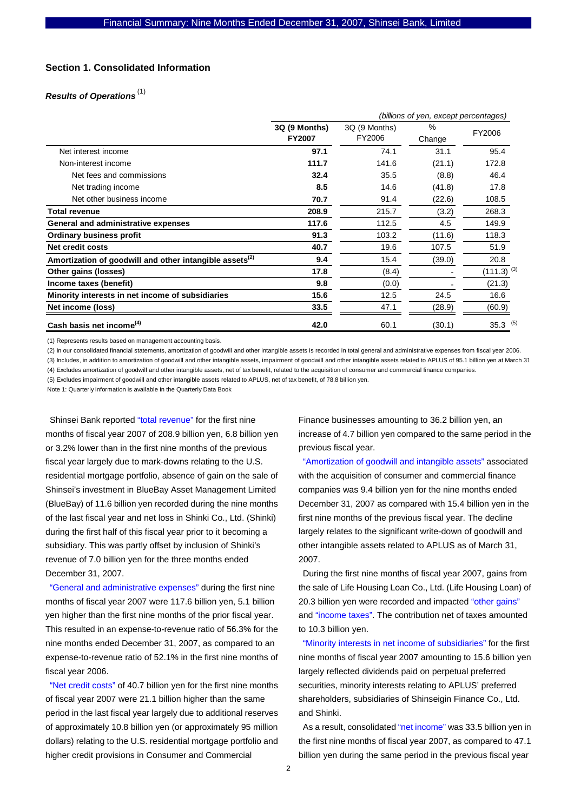## **Section 1. Consolidated Information**

## *Results of Operations* (1)

|                                                                     | (billions of yen, except percentages) |                         |                |                 |  |
|---------------------------------------------------------------------|---------------------------------------|-------------------------|----------------|-----------------|--|
|                                                                     | 3Q (9 Months)<br><b>FY2007</b>        | 3Q (9 Months)<br>FY2006 | $\%$<br>Change | FY2006          |  |
| Net interest income                                                 | 97.1                                  | 74.1                    | 31.1           | 95.4            |  |
| Non-interest income                                                 | 111.7                                 | 141.6                   | (21.1)         | 172.8           |  |
| Net fees and commissions                                            | 32.4                                  | 35.5                    | (8.8)          | 46.4            |  |
| Net trading income                                                  | 8.5                                   | 14.6                    | (41.8)         | 17.8            |  |
| Net other business income                                           | 70.7                                  | 91.4                    | (22.6)         | 108.5           |  |
| <b>Total revenue</b>                                                | 208.9                                 | 215.7                   | (3.2)          | 268.3           |  |
| General and administrative expenses                                 | 117.6                                 | 112.5                   | 4.5            | 149.9           |  |
| <b>Ordinary business profit</b>                                     | 91.3                                  | 103.2                   | (11.6)         | 118.3           |  |
| Net credit costs                                                    | 40.7                                  | 19.6                    | 107.5          | 51.9            |  |
| Amortization of goodwill and other intangible assets <sup>(2)</sup> | 9.4                                   | 15.4                    | (39.0)         | 20.8            |  |
| Other gains (losses)                                                | 17.8                                  | (8.4)                   |                | $(111.3)^{(3)}$ |  |
| Income taxes (benefit)                                              | 9.8                                   | (0.0)                   |                | (21.3)          |  |
| Minority interests in net income of subsidiaries                    | 15.6                                  | 12.5                    | 24.5           | 16.6            |  |
| Net income (loss)                                                   | 33.5                                  | 47.1                    | (28.9)         | (60.9)          |  |
| Cash basis net income <sup>(4)</sup>                                | 42.0                                  | 60.1                    | (30.1)         | $35.3$ (5)      |  |

(1) Represents results based on management accounting basis.

(2) In our consolidated financial statements, amortization of goodwill and other intangible assets is recorded in total general and administrative expenses from fiscal year 2006. (3) Includes, in addition to amortization of goodwill and other intangible assets, impairment of goodwill and other intangible assets related to APLUS of 95.1 billion yen at March 31

(4) Excludes amortization of goodwill and other intangible assets, net of tax benefit, related to the acquisition of consumer and commercial finance companies.

(5) Excludes impairment of goodwill and other intangible assets related to APLUS, net of tax benefit, of 78.8 billion yen.

Note 1: Quarterly information is available in the Quarterly Data Book

Shinsei Bank reported "total revenue" for the first nine months of fiscal year 2007 of 208.9 billion yen, 6.8 billion yen or 3.2% lower than in the first nine months of the previous fiscal year largely due to mark-downs relating to the U.S. residential mortgage portfolio, absence of gain on the sale of Shinsei's investment in BlueBay Asset Management Limited (BlueBay) of 11.6 billion yen recorded during the nine months of the last fiscal year and net loss in Shinki Co., Ltd. (Shinki) during the first half of this fiscal year prior to it becoming a subsidiary. This was partly offset by inclusion of Shinki's revenue of 7.0 billion yen for the three months ended December 31, 2007.

"General and administrative expenses" during the first nine months of fiscal year 2007 were 117.6 billion yen, 5.1 billion yen higher than the first nine months of the prior fiscal year. This resulted in an expense-to-revenue ratio of 56.3% for the nine months ended December 31, 2007, as compared to an expense-to-revenue ratio of 52.1% in the first nine months of fiscal year 2006.

"Net credit costs" of 40.7 billion yen for the first nine months of fiscal year 2007 were 21.1 billion higher than the same period in the last fiscal year largely due to additional reserves of approximately 10.8 billion yen (or approximately 95 million dollars) relating to the U.S. residential mortgage portfolio and higher credit provisions in Consumer and Commercial

Finance businesses amounting to 36.2 billion yen, an increase of 4.7 billion yen compared to the same period in the previous fiscal year.

"Amortization of goodwill and intangible assets" associated with the acquisition of consumer and commercial finance companies was 9.4 billion yen for the nine months ended December 31, 2007 as compared with 15.4 billion yen in the first nine months of the previous fiscal year. The decline largely relates to the significant write-down of goodwill and other intangible assets related to APLUS as of March 31, 2007.

During the first nine months of fiscal year 2007, gains from the sale of Life Housing Loan Co., Ltd. (Life Housing Loan) of 20.3 billion yen were recorded and impacted "other gains" and "income taxes". The contribution net of taxes amounted to 10.3 billion yen.

"Minority interests in net income of subsidiaries" for the first nine months of fiscal year 2007 amounting to 15.6 billion yen largely reflected dividends paid on perpetual preferred securities, minority interests relating to APLUS' preferred shareholders, subsidiaries of Shinseigin Finance Co., Ltd. and Shinki.

As a result, consolidated "net income" was 33.5 billion yen in the first nine months of fiscal year 2007, as compared to 47.1 billion yen during the same period in the previous fiscal year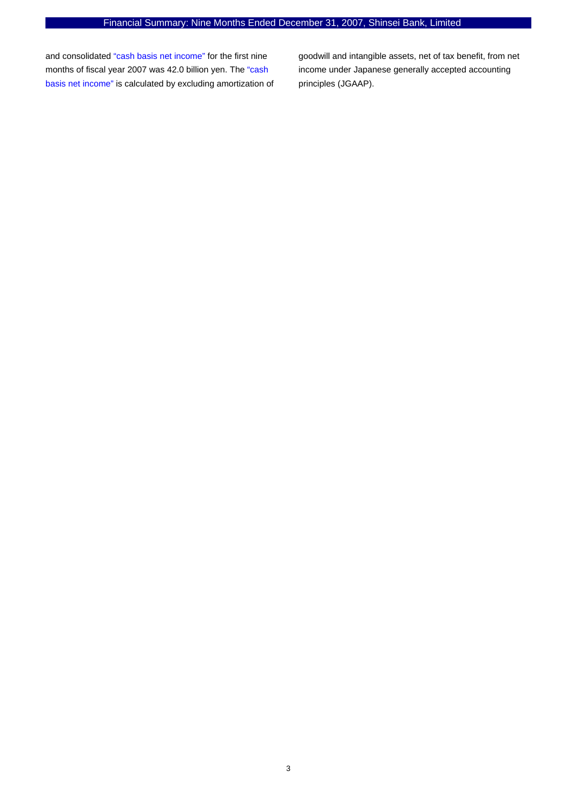and consolidated "cash basis net income" for the first nine months of fiscal year 2007 was 42.0 billion yen. The "cash basis net income" is calculated by excluding amortization of

goodwill and intangible assets, net of tax benefit, from net income under Japanese generally accepted accounting principles (JGAAP).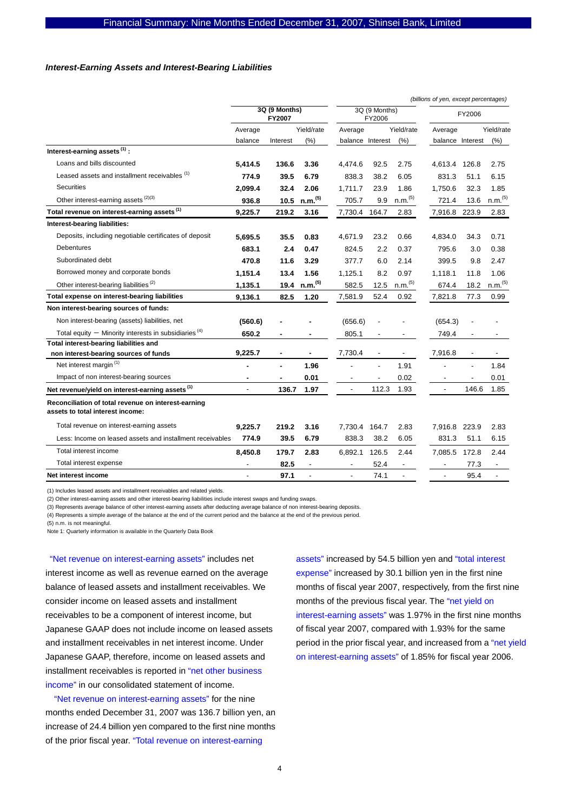#### *Interest-Earning Assets and Interest-Bearing Liabilities*

|                                                                                         |                         |          |                          |                          |                              |                          | (billions of yen, except percentages) |                |                          |
|-----------------------------------------------------------------------------------------|-------------------------|----------|--------------------------|--------------------------|------------------------------|--------------------------|---------------------------------------|----------------|--------------------------|
|                                                                                         | 3Q (9 Months)<br>FY2007 |          | 3Q (9 Months)<br>FY2006  |                          | FY2006                       |                          |                                       |                |                          |
|                                                                                         | Average                 |          | Yield/rate               | Average                  |                              | Yield/rate               | Average                               |                | Yield/rate               |
|                                                                                         | balance                 | Interest | (%)                      | balance Interest         |                              | (% )                     | balance Interest                      |                | (%)                      |
| Interest-earning assets <sup>(1)</sup> :                                                |                         |          |                          |                          |                              |                          |                                       |                |                          |
| Loans and bills discounted                                                              | 5.414.5                 | 136.6    | 3.36                     | 4.474.6                  | 92.5                         | 2.75                     | 4,613.4                               | 126.8          | 2.75                     |
| Leased assets and installment receivables (1)                                           | 774.9                   | 39.5     | 6.79                     | 838.3                    | 38.2                         | 6.05                     | 831.3                                 | 51.1           | 6.15                     |
| <b>Securities</b>                                                                       | 2,099.4                 | 32.4     | 2.06                     | 1,711.7                  | 23.9                         | 1.86                     | 1,750.6                               | 32.3           | 1.85                     |
| Other interest-earning assets (2)(3)                                                    | 936.8                   | 10.5     | n.m. <sup>(5)</sup>      | 705.7                    | 9.9                          | n.m. <sup>(5)</sup>      | 721.4                                 | 13.6           | n.m. <sup>(5)</sup>      |
| Total revenue on interest-earning assets (1)                                            | 9,225.7                 | 219.2    | 3.16                     | 7,730.4 164.7            |                              | 2.83                     | 7,916.8 223.9                         |                | 2.83                     |
| Interest-bearing liabilities:                                                           |                         |          |                          |                          |                              |                          |                                       |                |                          |
| Deposits, including negotiable certificates of deposit                                  | 5,695.5                 | 35.5     | 0.83                     | 4,671.9                  | 23.2                         | 0.66                     | 4,834.0                               | 34.3           | 0.71                     |
| <b>Debentures</b>                                                                       | 683.1                   | 2.4      | 0.47                     | 824.5                    | 2.2                          | 0.37                     | 795.6                                 | 3.0            | 0.38                     |
| Subordinated debt                                                                       | 470.8                   | 11.6     | 3.29                     | 377.7                    | 6.0                          | 2.14                     | 399.5                                 | 9.8            | 2.47                     |
| Borrowed money and corporate bonds                                                      | 1,151.4                 | 13.4     | 1.56                     | 1,125.1                  | 8.2                          | 0.97                     | 1,118.1                               | 11.8           | 1.06                     |
| Other interest-bearing liabilities <sup>(2)</sup>                                       | 1,135.1                 | 19.4     | n.m. <sup>(5)</sup>      | 582.5                    | 12.5                         | n.m. <sup>(5)</sup>      | 674.4                                 | 18.2           | n.m. <sup>(5)</sup>      |
| Total expense on interest-bearing liabilities                                           | 9,136.1                 | 82.5     | 1.20                     | 7,581.9                  | 52.4                         | 0.92                     | 7,821.8                               | 77.3           | 0.99                     |
| Non interest-bearing sources of funds:                                                  |                         |          |                          |                          |                              |                          |                                       |                |                          |
| Non interest-bearing (assets) liabilities, net                                          | (560.6)                 |          |                          | (656.6)                  |                              |                          | (654.3)                               |                |                          |
| Total equity $-$ Minority interests in subsidiaries <sup>(4)</sup>                      | 650.2                   |          | ٠                        | 805.1                    |                              |                          | 749.4                                 |                |                          |
| Total interest-bearing liabilities and                                                  |                         |          |                          |                          |                              |                          |                                       |                |                          |
| non interest-bearing sources of funds                                                   | 9,225.7                 |          |                          | 7,730.4                  |                              |                          | 7,916.8                               |                |                          |
| Net interest margin <sup>(1)</sup>                                                      |                         |          | 1.96                     |                          | $\overline{a}$               | 1.91                     |                                       | $\overline{a}$ | 1.84                     |
| Impact of non interest-bearing sources                                                  | ٠                       |          | 0.01                     |                          | $\qquad \qquad \blacksquare$ | 0.02                     |                                       | $\overline{a}$ | 0.01                     |
| Net revenue/yield on interest-earning assets <sup>(1)</sup>                             |                         | 136.7    | 1.97                     |                          | 112.3                        | 1.93                     |                                       | 146.6          | 1.85                     |
| Reconciliation of total revenue on interest-earning<br>assets to total interest income: |                         |          |                          |                          |                              |                          |                                       |                |                          |
| Total revenue on interest-earning assets                                                | 9,225.7                 | 219.2    | 3.16                     | 7,730.4                  | 164.7                        | 2.83                     | 7,916.8                               | 223.9          | 2.83                     |
| Less: Income on leased assets and installment receivables                               | 774.9                   | 39.5     | 6.79                     | 838.3                    | 38.2                         | 6.05                     | 831.3                                 | 51.1           | 6.15                     |
| Total interest income                                                                   | 8.450.8                 | 179.7    | 2.83                     | 6.892.1                  | 126.5                        | 2.44                     | 7.085.5                               | 172.8          | 2.44                     |
| Total interest expense                                                                  |                         | 82.5     | $\overline{\phantom{a}}$ | $\overline{\phantom{a}}$ | 52.4                         | $\overline{\phantom{a}}$ |                                       | 77.3           | $\overline{\phantom{a}}$ |
| Net interest income                                                                     |                         | 97.1     | ÷,                       | $\blacksquare$           | 74.1                         | L.                       | $\overline{a}$                        | 95.4           | $\overline{a}$           |

(1) Includes leased assets and installment receivables and related yields.

(2) Other interest-earning assets and other interest-bearing liabilities include interest swaps and funding swaps.

(3) Represents average balance of other interest-earning assets after deducting average balance of non interest-bearing deposits.

(4) Represents a simple average of the balance at the end of the current period and the balance at the end of the previous period.

(5) n.m. is not meaningful.

Note 1: Quarterly information is available in the Quarterly Data Book

"Net revenue on interest-earning assets" includes net interest income as well as revenue earned on the average balance of leased assets and installment receivables. We consider income on leased assets and installment receivables to be a component of interest income, but Japanese GAAP does not include income on leased assets and installment receivables in net interest income. Under Japanese GAAP, therefore, income on leased assets and installment receivables is reported in "net other business income" in our consolidated statement of income.

"Net revenue on interest-earning assets" for the nine months ended December 31, 2007 was 136.7 billion yen, an increase of 24.4 billion yen compared to the first nine months of the prior fiscal year. "Total revenue on interest-earning

assets" increased by 54.5 billion yen and "total interest expense" increased by 30.1 billion yen in the first nine months of fiscal year 2007, respectively, from the first nine months of the previous fiscal year. The "net yield on interest-earning assets" was 1.97% in the first nine months of fiscal year 2007, compared with 1.93% for the same period in the prior fiscal year, and increased from a "net yield on interest-earning assets" of 1.85% for fiscal year 2006.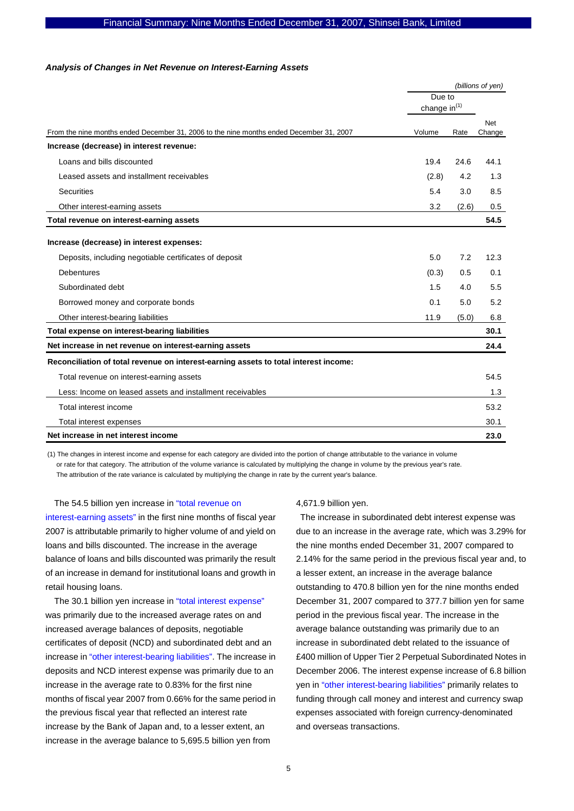#### *Analysis of Changes in Net Revenue on Interest-Earning Assets*

|                                                                                         |                              | (billions of yen) |               |  |
|-----------------------------------------------------------------------------------------|------------------------------|-------------------|---------------|--|
|                                                                                         | Due to<br>change in $^{(1)}$ |                   |               |  |
|                                                                                         |                              |                   |               |  |
| From the nine months ended December 31, 2006 to the nine months ended December 31, 2007 | Volume                       | Rate              | Net<br>Change |  |
| Increase (decrease) in interest revenue:                                                |                              |                   |               |  |
| Loans and bills discounted                                                              | 19.4                         | 24.6              | 44.1          |  |
| Leased assets and installment receivables                                               | (2.8)                        | 4.2               | 1.3           |  |
| <b>Securities</b>                                                                       | 5.4                          | 3.0               | 8.5           |  |
| Other interest-earning assets                                                           | 3.2                          | (2.6)             | 0.5           |  |
| Total revenue on interest-earning assets                                                |                              |                   | 54.5          |  |
| Increase (decrease) in interest expenses:                                               |                              |                   |               |  |
| Deposits, including negotiable certificates of deposit                                  | 5.0                          | 7.2               | 12.3          |  |
| <b>Debentures</b>                                                                       | (0.3)                        | 0.5               | 0.1           |  |
| Subordinated debt                                                                       | 1.5                          | 4.0               | 5.5           |  |
| Borrowed money and corporate bonds                                                      | 0.1                          | 5.0               | 5.2           |  |
| Other interest-bearing liabilities                                                      | 11.9                         | (5.0)             | 6.8           |  |
| Total expense on interest-bearing liabilities                                           |                              |                   | 30.1          |  |
| Net increase in net revenue on interest-earning assets                                  |                              |                   | 24.4          |  |
| Reconciliation of total revenue on interest-earning assets to total interest income:    |                              |                   |               |  |
| Total revenue on interest-earning assets                                                |                              |                   | 54.5          |  |
| Less: Income on leased assets and installment receivables                               |                              |                   | 1.3           |  |
| Total interest income                                                                   |                              |                   | 53.2          |  |
| Total interest expenses                                                                 |                              |                   | 30.1          |  |
| Net increase in net interest income                                                     |                              |                   | 23.0          |  |

(1) The changes in interest income and expense for each category are divided into the portion of change attributable to the variance in volume or rate for that category. The attribution of the volume variance is calculated by multiplying the change in volume by the previous year's rate. The attribution of the rate variance is calculated by multiplying the change in rate by the current year's balance.

The 54.5 billion yen increase in "total revenue on interest-earning assets" in the first nine months of fiscal year 2007 is attributable primarily to higher volume of and yield on loans and bills discounted. The increase in the average balance of loans and bills discounted was primarily the result of an increase in demand for institutional loans and growth in retail housing loans.

The 30.1 billion yen increase in "total interest expense" was primarily due to the increased average rates on and increased average balances of deposits, negotiable certificates of deposit (NCD) and subordinated debt and an increase in "other interest-bearing liabilities". The increase in deposits and NCD interest expense was primarily due to an increase in the average rate to 0.83% for the first nine months of fiscal year 2007 from 0.66% for the same period in the previous fiscal year that reflected an interest rate increase by the Bank of Japan and, to a lesser extent, an increase in the average balance to 5,695.5 billion yen from

4,671.9 billion yen.

The increase in subordinated debt interest expense was due to an increase in the average rate, which was 3.29% for the nine months ended December 31, 2007 compared to 2.14% for the same period in the previous fiscal year and, to a lesser extent, an increase in the average balance outstanding to 470.8 billion yen for the nine months ended December 31, 2007 compared to 377.7 billion yen for same period in the previous fiscal year. The increase in the average balance outstanding was primarily due to an increase in subordinated debt related to the issuance of £400 million of Upper Tier 2 Perpetual Subordinated Notes in December 2006. The interest expense increase of 6.8 billion yen in "other interest-bearing liabilities" primarily relates to funding through call money and interest and currency swap expenses associated with foreign currency-denominated and overseas transactions.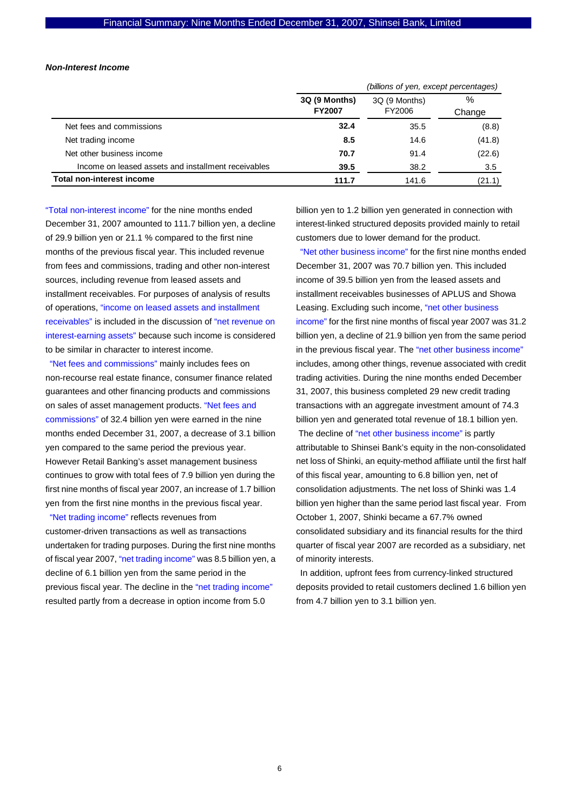#### *Non-Interest Income*

|                                                     | (billions of yen, except percentages) |                         |                |  |
|-----------------------------------------------------|---------------------------------------|-------------------------|----------------|--|
|                                                     | 3Q (9 Months)<br><b>FY2007</b>        | 3Q (9 Months)<br>FY2006 | $\%$<br>Change |  |
| Net fees and commissions                            | 32.4                                  | 35.5                    | (8.8)          |  |
| Net trading income                                  | 8.5                                   | 14.6                    | (41.8)         |  |
| Net other business income                           | 70.7                                  | 91.4                    | (22.6)         |  |
| Income on leased assets and installment receivables | 39.5                                  | 38.2                    | 3.5            |  |
| <b>Total non-interest income</b>                    | 111.7                                 | 141.6                   | (21.1)         |  |

"Total non-interest income" for the nine months ended December 31, 2007 amounted to 111.7 billion yen, a decline of 29.9 billion yen or 21.1 % compared to the first nine months of the previous fiscal year. This included revenue from fees and commissions, trading and other non-interest sources, including revenue from leased assets and installment receivables. For purposes of analysis of results of operations, "income on leased assets and installment receivables" is included in the discussion of "net revenue on interest-earning assets" because such income is considered to be similar in character to interest income.

"Net fees and commissions" mainly includes fees on non-recourse real estate finance, consumer finance related guarantees and other financing products and commissions on sales of asset management products. "Net fees and commissions" of 32.4 billion yen were earned in the nine months ended December 31, 2007, a decrease of 3.1 billion yen compared to the same period the previous year. However Retail Banking's asset management business continues to grow with total fees of 7.9 billion yen during the first nine months of fiscal year 2007, an increase of 1.7 billion yen from the first nine months in the previous fiscal year.

"Net trading income" reflects revenues from customer-driven transactions as well as transactions undertaken for trading purposes. During the first nine months of fiscal year 2007, "net trading income" was 8.5 billion yen, a decline of 6.1 billion yen from the same period in the previous fiscal year. The decline in the "net trading income" resulted partly from a decrease in option income from 5.0

billion yen to 1.2 billion yen generated in connection with interest-linked structured deposits provided mainly to retail customers due to lower demand for the product.

"Net other business income" for the first nine months ended December 31, 2007 was 70.7 billion yen. This included income of 39.5 billion yen from the leased assets and installment receivables businesses of APLUS and Showa Leasing. Excluding such income, "net other business income" for the first nine months of fiscal year 2007 was 31.2 billion yen, a decline of 21.9 billion yen from the same period in the previous fiscal year. The "net other business income" includes, among other things, revenue associated with credit trading activities. During the nine months ended December 31, 2007, this business completed 29 new credit trading transactions with an aggregate investment amount of 74.3 billion yen and generated total revenue of 18.1 billion yen. The decline of "net other business income" is partly attributable to Shinsei Bank's equity in the non-consolidated net loss of Shinki, an equity-method affiliate until the first half of this fiscal year, amounting to 6.8 billion yen, net of consolidation adjustments. The net loss of Shinki was 1.4 billion yen higher than the same period last fiscal year. From October 1, 2007, Shinki became a 67.7% owned consolidated subsidiary and its financial results for the third quarter of fiscal year 2007 are recorded as a subsidiary, net of minority interests.

In addition, upfront fees from currency-linked structured deposits provided to retail customers declined 1.6 billion yen from 4.7 billion yen to 3.1 billion yen.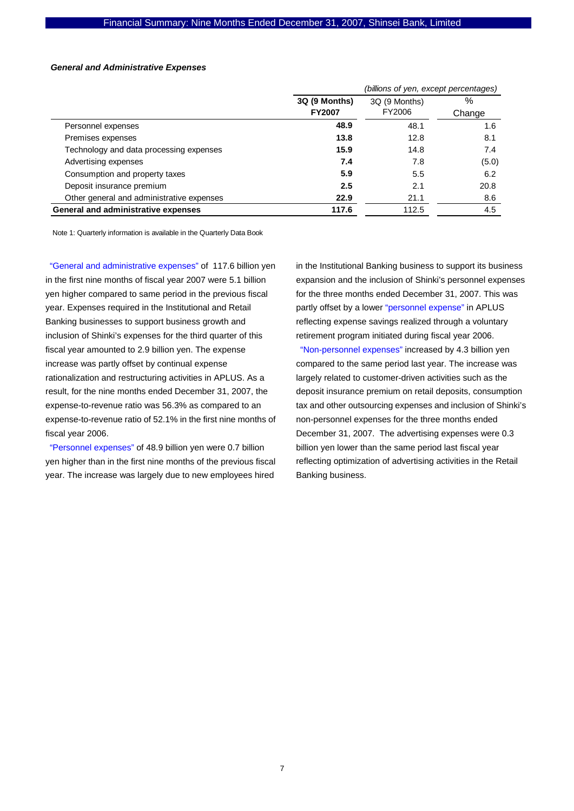#### *General and Administrative Expenses*

|                                           |               | (billions of yen, except percentages) |        |  |  |
|-------------------------------------------|---------------|---------------------------------------|--------|--|--|
|                                           | 3Q (9 Months) | 3Q (9 Months)                         | ℅      |  |  |
|                                           | <b>FY2007</b> | FY2006                                | Change |  |  |
| Personnel expenses                        | 48.9          | 48.1                                  | 1.6    |  |  |
| Premises expenses                         | 13.8          | 12.8                                  | 8.1    |  |  |
| Technology and data processing expenses   | 15.9          | 14.8                                  | 7.4    |  |  |
| Advertising expenses                      | 7.4           | 7.8                                   | (5.0)  |  |  |
| Consumption and property taxes            | 5.9           | 5.5                                   | 6.2    |  |  |
| Deposit insurance premium                 | 2.5           | 2.1                                   | 20.8   |  |  |
| Other general and administrative expenses | 22.9          | 21.1                                  | 8.6    |  |  |
| General and administrative expenses       | 117.6         | 112.5                                 | 4.5    |  |  |

Note 1: Quarterly information is available in the Quarterly Data Book

"General and administrative expenses" of 117.6 billion yen in the first nine months of fiscal year 2007 were 5.1 billion yen higher compared to same period in the previous fiscal year. Expenses required in the Institutional and Retail Banking businesses to support business growth and inclusion of Shinki's expenses for the third quarter of this fiscal year amounted to 2.9 billion yen. The expense increase was partly offset by continual expense rationalization and restructuring activities in APLUS. As a result, for the nine months ended December 31, 2007, the expense-to-revenue ratio was 56.3% as compared to an expense-to-revenue ratio of 52.1% in the first nine months of fiscal year 2006.

"Personnel expenses" of 48.9 billion yen were 0.7 billion yen higher than in the first nine months of the previous fiscal year. The increase was largely due to new employees hired

in the Institutional Banking business to support its business expansion and the inclusion of Shinki's personnel expenses for the three months ended December 31, 2007. This was partly offset by a lower "personnel expense" in APLUS reflecting expense savings realized through a voluntary retirement program initiated during fiscal year 2006.

"Non-personnel expenses" increased by 4.3 billion yen compared to the same period last year. The increase was largely related to customer-driven activities such as the deposit insurance premium on retail deposits, consumption tax and other outsourcing expenses and inclusion of Shinki's non-personnel expenses for the three months ended December 31, 2007. The advertising expenses were 0.3 billion yen lower than the same period last fiscal year reflecting optimization of advertising activities in the Retail Banking business.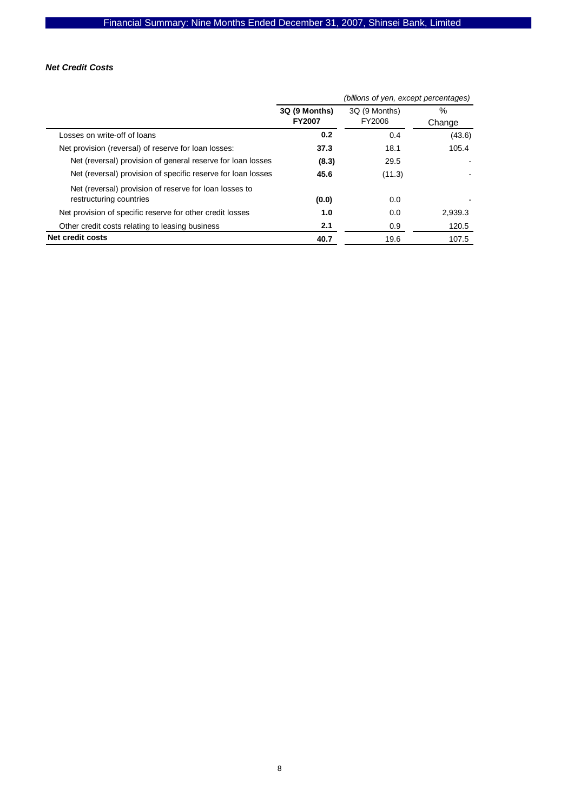## *Net Credit Costs*

|                                                                                   |                                | (billions of yen, except percentages) |                |  |  |
|-----------------------------------------------------------------------------------|--------------------------------|---------------------------------------|----------------|--|--|
|                                                                                   | 3Q (9 Months)<br><b>FY2007</b> | 3Q (9 Months)<br>FY2006               | $\%$<br>Change |  |  |
| Losses on write-off of loans                                                      | 0.2                            | 0.4                                   | (43.6)         |  |  |
| Net provision (reversal) of reserve for loan losses:                              | 37.3                           | 18.1                                  | 105.4          |  |  |
| Net (reversal) provision of general reserve for loan losses                       | (8.3)                          | 29.5                                  |                |  |  |
| Net (reversal) provision of specific reserve for loan losses                      | 45.6                           | (11.3)                                |                |  |  |
| Net (reversal) provision of reserve for loan losses to<br>restructuring countries | (0.0)                          | 0.0                                   |                |  |  |
| Net provision of specific reserve for other credit losses                         | 1.0                            | 0.0                                   | 2.939.3        |  |  |
| Other credit costs relating to leasing business                                   | 2.1                            | 0.9                                   | 120.5          |  |  |
| <b>Net credit costs</b>                                                           | 40.7                           | 19.6                                  | 107.5          |  |  |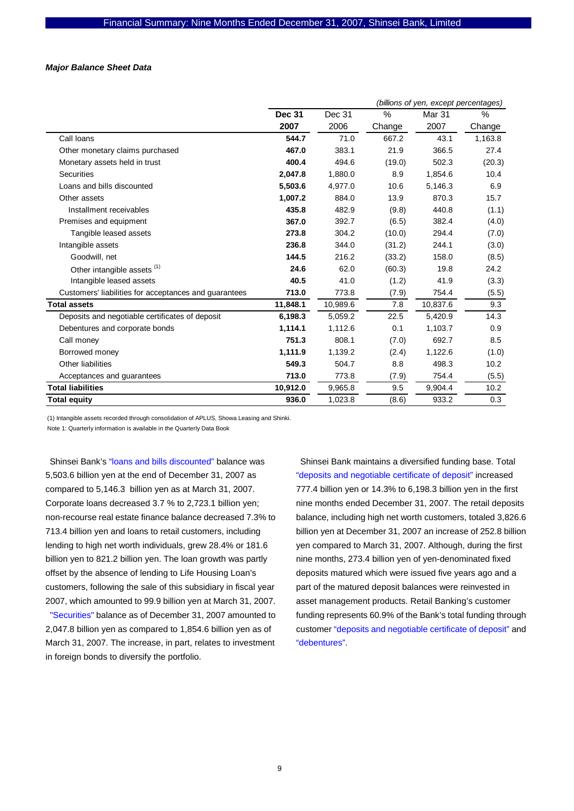## *Major Balance Sheet Data*

|                                                       | (billions of yen, except percentages) |          |        |          |         |
|-------------------------------------------------------|---------------------------------------|----------|--------|----------|---------|
|                                                       | <b>Dec 31</b>                         | Dec 31   | $\%$   | Mar 31   | %       |
|                                                       | 2007                                  | 2006     | Change | 2007     | Change  |
| Call Ioans                                            | 544.7                                 | 71.0     | 667.2  | 43.1     | 1,163.8 |
| Other monetary claims purchased                       | 467.0                                 | 383.1    | 21.9   | 366.5    | 27.4    |
| Monetary assets held in trust                         | 400.4                                 | 494.6    | (19.0) | 502.3    | (20.3)  |
| <b>Securities</b>                                     | 2,047.8                               | 1,880.0  | 8.9    | 1,854.6  | 10.4    |
| Loans and bills discounted                            | 5,503.6                               | 4,977.0  | 10.6   | 5,146.3  | 6.9     |
| Other assets                                          | 1,007.2                               | 884.0    | 13.9   | 870.3    | 15.7    |
| Installment receivables                               | 435.8                                 | 482.9    | (9.8)  | 440.8    | (1.1)   |
| Premises and equipment                                | 367.0                                 | 392.7    | (6.5)  | 382.4    | (4.0)   |
| Tangible leased assets                                | 273.8                                 | 304.2    | (10.0) | 294.4    | (7.0)   |
| Intangible assets                                     | 236.8                                 | 344.0    | (31.2) | 244.1    | (3.0)   |
| Goodwill, net                                         | 144.5                                 | 216.2    | (33.2) | 158.0    | (8.5)   |
| Other intangible assets (1)                           | 24.6                                  | 62.0     | (60.3) | 19.8     | 24.2    |
| Intangible leased assets                              | 40.5                                  | 41.0     | (1.2)  | 41.9     | (3.3)   |
| Customers' liabilities for acceptances and guarantees | 713.0                                 | 773.8    | (7.9)  | 754.4    | (5.5)   |
| Total assets                                          | 11,848.1                              | 10,989.6 | 7.8    | 10,837.6 | 9.3     |
| Deposits and negotiable certificates of deposit       | 6,198.3                               | 5,059.2  | 22.5   | 5,420.9  | 14.3    |
| Debentures and corporate bonds                        | 1,114.1                               | 1,112.6  | 0.1    | 1,103.7  | 0.9     |
| Call money                                            | 751.3                                 | 808.1    | (7.0)  | 692.7    | 8.5     |
| Borrowed money                                        | 1,111.9                               | 1,139.2  | (2.4)  | 1,122.6  | (1.0)   |
| Other liabilities                                     | 549.3                                 | 504.7    | 8.8    | 498.3    | 10.2    |
| Acceptances and guarantees                            | 713.0                                 | 773.8    | (7.9)  | 754.4    | (5.5)   |
| <b>Total liabilities</b>                              | 10,912.0                              | 9,965.8  | 9.5    | 9,904.4  | 10.2    |
| Total equity                                          | 936.0                                 | 1,023.8  | (8.6)  | 933.2    | 0.3     |

(1) Intangible assets recorded through consolidation of APLUS, Showa Leasing and Shinki.

Note 1: Quarterly information is available in the Quarterly Data Book

Shinsei Bank's "loans and bills discounted" balance was 5,503.6 billion yen at the end of December 31, 2007 as compared to 5,146.3 billion yen as at March 31, 2007. Corporate loans decreased 3.7 % to 2,723.1 billion yen; non-recourse real estate finance balance decreased 7.3% to 713.4 billion yen and loans to retail customers, including lending to high net worth individuals, grew 28.4% or 181.6 billion yen to 821.2 billion yen. The loan growth was partly offset by the absence of lending to Life Housing Loan's customers, following the sale of this subsidiary in fiscal year 2007, which amounted to 99.9 billion yen at March 31, 2007.

"Securities" balance as of December 31, 2007 amounted to 2,047.8 billion yen as compared to 1,854.6 billion yen as of March 31, 2007. The increase, in part, relates to investment in foreign bonds to diversify the portfolio.

Shinsei Bank maintains a diversified funding base. Total "deposits and negotiable certificate of deposit" increased 777.4 billion yen or 14.3% to 6,198.3 billion yen in the first nine months ended December 31, 2007. The retail deposits balance, including high net worth customers, totaled 3,826.6 billion yen at December 31, 2007 an increase of 252.8 billion yen compared to March 31, 2007. Although, during the first nine months, 273.4 billion yen of yen-denominated fixed deposits matured which were issued five years ago and a part of the matured deposit balances were reinvested in asset management products. Retail Banking's customer funding represents 60.9% of the Bank's total funding through customer "deposits and negotiable certificate of deposit" and "debentures".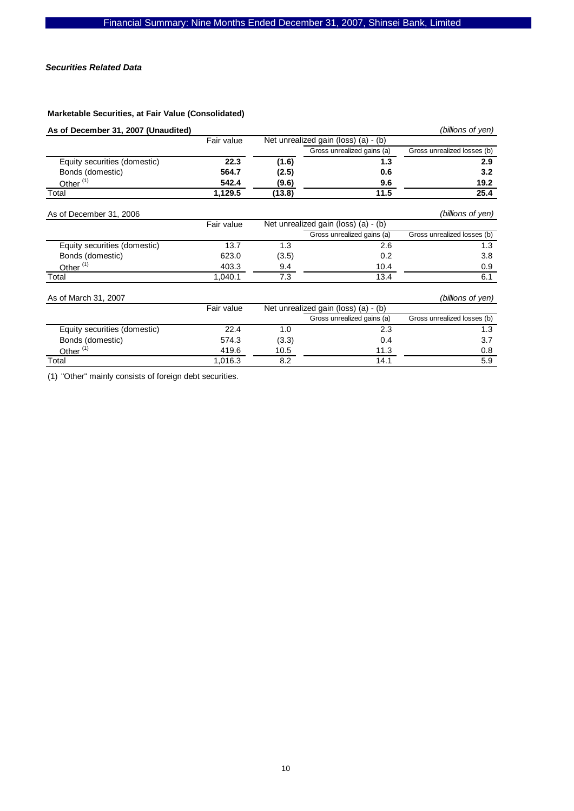## *Securities Related Data*

## **Marketable Securities, at Fair Value (Consolidated)**

| As of December 31, 2007 (Unaudited) |            |        |                                      | (billions of yen)           |
|-------------------------------------|------------|--------|--------------------------------------|-----------------------------|
|                                     | Fair value |        | Net unrealized gain (loss) (a) - (b) |                             |
|                                     |            |        | Gross unrealized gains (a)           | Gross unrealized losses (b) |
| Equity securities (domestic)        | 22.3       | (1.6)  | 1.3                                  | 2.9                         |
| Bonds (domestic)                    | 564.7      | (2.5)  | 0.6                                  | 3.2                         |
| Other $(1)$                         | 542.4      | (9.6)  | 9.6                                  | 19.2                        |
| Total                               | 1,129.5    | (13.8) | 11.5                                 | 25.4                        |
| As of December 31, 2006             |            |        |                                      | (billions of yen)           |
|                                     | Fair value |        | Net unrealized gain (loss) (a) - (b) |                             |
|                                     |            |        | Gross unrealized gains (a)           | Gross unrealized losses (b) |
| Equity securities (domestic)        | 13.7       | 1.3    | 2.6                                  | 1.3                         |
| Bonds (domestic)                    | 623.0      | (3.5)  | 0.2                                  | 3.8                         |
| Other <sup>(1)</sup>                | 403.3      | 9.4    | 10.4                                 | 0.9                         |
| Total                               | 1,040.1    | 7.3    | 13.4                                 | 6.1                         |
| As of March 31, 2007                |            |        |                                      | (billions of yen)           |
|                                     | Fair value |        | Net unrealized gain (loss) (a) - (b) |                             |
|                                     |            |        | Gross unrealized gains (a)           | Gross unrealized losses (b) |
| Equity securities (domestic)        | 22.4       | 1.0    | 2.3                                  | 1.3                         |
| Bonds (domestic)                    | 574.3      | (3.3)  | 0.4                                  | 3.7                         |
| Other <sup>(1)</sup>                | 419.6      | 10.5   | 11.3                                 | 0.8                         |
| Total                               | 1,016.3    | 8.2    | 14.1                                 | 5.9                         |

(1) "Other" mainly consists of foreign debt securities.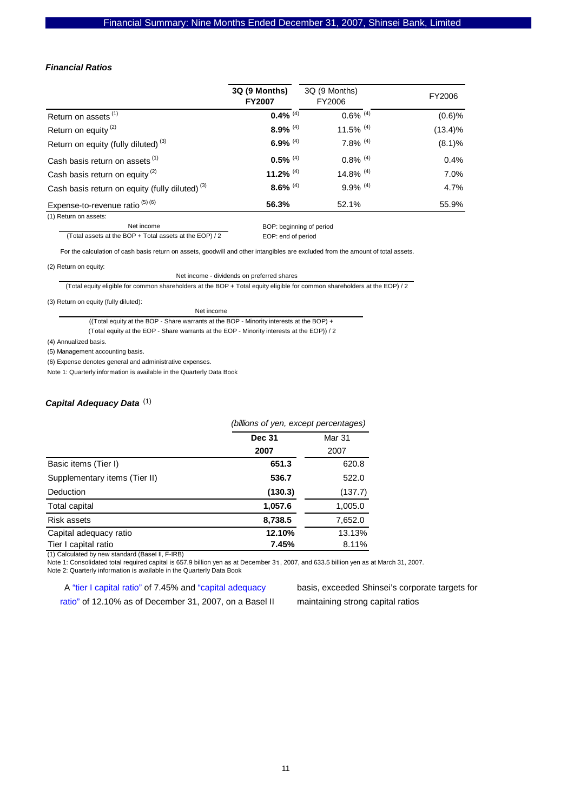#### *Financial Ratios*

|                                                            | 3Q (9 Months)<br><b>FY2007</b> | 3Q (9 Months)<br>FY2006 | FY2006     |
|------------------------------------------------------------|--------------------------------|-------------------------|------------|
| Return on assets <sup>(1)</sup>                            | 0.4% $(4)$                     | $0.6\%$ <sup>(4)</sup>  | (0.6)%     |
| Return on equity <sup>(2)</sup>                            | $8.9\%$ <sup>(4)</sup>         | 11.5% $(4)$             | $(13.4)\%$ |
| Return on equity (fully diluted) <sup>(3)</sup>            | 6.9% $(4)$                     | $7.8\%$ <sup>(4)</sup>  | (8.1)%     |
| Cash basis return on assets <sup>(1)</sup>                 | $0.5\%$ <sup>(4)</sup>         | $0.8\%$ <sup>(4)</sup>  | 0.4%       |
| Cash basis return on equity <sup>(2)</sup>                 | 11.2% $(4)$                    | 14.8% $(4)$             | 7.0%       |
| Cash basis return on equity (fully diluted) <sup>(3)</sup> | $8.6\%$ <sup>(4)</sup>         | $9.9\%$ <sup>(4)</sup>  | 4.7%       |
| Expense-to-revenue ratio $(5)(6)$                          | 56.3%                          | 52.1%                   | 55.9%      |

(1) Return on assets: Net income

BOP: beginning of period

 EOP: end of period (Total assets at the BOP + Total assets at the EOP) / 2

For the calculation of cash basis return on assets, goodwill and other intangibles are excluded from the amount of total assets.

(2) Return on equity:

Net income - dividends on preferred shares

(Total equity eligible for common shareholders at the BOP + Total equity eligible for common shareholders at the EOP) / 2

(3) Return on equity (fully diluted):

| Net income                                                                                |
|-------------------------------------------------------------------------------------------|
| (Total equity at the BOP - Share warrants at the BOP - Minority interests at the BOP) $+$ |

(Total equity at the EOP - Share warrants at the EOP - Minority interests at the EOP)) / 2

(4) Annualized basis.

(5) Management accounting basis.

(6) Expense denotes general and administrative expenses.

Note 1: Quarterly information is available in the Quarterly Data Book

## *Capital Adequacy Data* (1)

|                               | (billions of yen, except percentages) |         |  |  |
|-------------------------------|---------------------------------------|---------|--|--|
|                               | <b>Dec 31</b>                         | Mar 31  |  |  |
|                               | 2007                                  | 2007    |  |  |
| Basic items (Tier I)          | 651.3                                 | 620.8   |  |  |
| Supplementary items (Tier II) | 536.7                                 | 522.0   |  |  |
| Deduction                     | (130.3)                               | (137.7) |  |  |
| Total capital                 | 1,057.6                               | 1,005.0 |  |  |
| Risk assets                   | 8,738.5                               | 7,652.0 |  |  |
| Capital adequacy ratio        | 12.10%                                | 13.13%  |  |  |
| Tier I capital ratio          | 7.45%                                 | 8.11%   |  |  |

(1) Calculated by new standard (BaseI II, F-IRB)

Note 1: Consolidated total required capital is 657.9 billion yen as at December 31, 2007, and 633.5 billion yen as at March 31, 2007. Note 2: Quarterly information is available in the Quarterly Data Book

A "tier I capital ratio" of 7.45% and "capital adequacy ratio" of 12.10% as of December 31, 2007, on a Basel II basis, exceeded Shinsei's corporate targets for maintaining strong capital ratios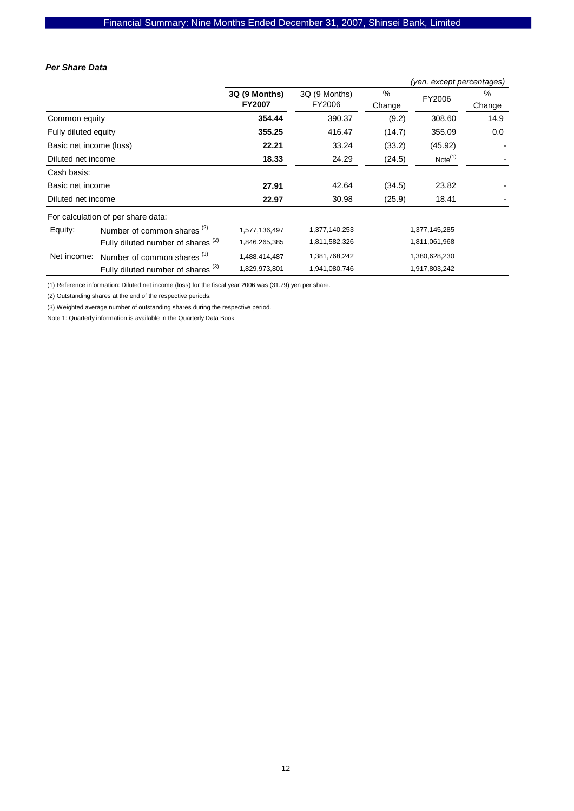#### *Per Share Data*

|                         |                                               |                                |                         |             | (yen, except percentages) |             |
|-------------------------|-----------------------------------------------|--------------------------------|-------------------------|-------------|---------------------------|-------------|
|                         |                                               | 3Q (9 Months)<br><b>FY2007</b> | 3Q (9 Months)<br>FY2006 | %<br>Change | FY2006                    | %<br>Change |
| Common equity           |                                               | 354.44                         | 390.37                  | (9.2)       | 308.60                    | 14.9        |
| Fully diluted equity    |                                               | 355.25                         | 416.47                  | (14.7)      | 355.09                    | 0.0         |
| Basic net income (loss) |                                               | 22.21                          | 33.24                   | (33.2)      | (45.92)                   |             |
| Diluted net income      |                                               | 18.33                          | 24.29                   | (24.5)      | Note <sup>(1)</sup>       |             |
| Cash basis:             |                                               |                                |                         |             |                           |             |
| Basic net income        |                                               | 27.91                          | 42.64                   | (34.5)      | 23.82                     |             |
| Diluted net income      |                                               | 22.97                          | 30.98                   | (25.9)      | 18.41                     |             |
|                         | For calculation of per share data:            |                                |                         |             |                           |             |
| Equity:                 | Number of common shares <sup>(2)</sup>        | 1,577,136,497                  | 1,377,140,253           |             | 1,377,145,285             |             |
|                         | Fully diluted number of shares <sup>(2)</sup> | 1,846,265,385                  | 1,811,582,326           |             | 1,811,061,968             |             |
| Net income:             | Number of common shares <sup>(3)</sup>        | 1,488,414,487                  | 1,381,768,242           |             | 1,380,628,230             |             |
|                         | Fully diluted number of shares <sup>(3)</sup> | 1,829,973,801                  | 1,941,080,746           |             | 1,917,803,242             |             |

(1) Reference information: Diluted net income (loss) for the fiscal year 2006 was (31.79) yen per share.

(2) Outstanding shares at the end of the respective periods.

(3) Weighted average number of outstanding shares during the respective period.

Note 1: Quarterly information is available in the Quarterly Data Book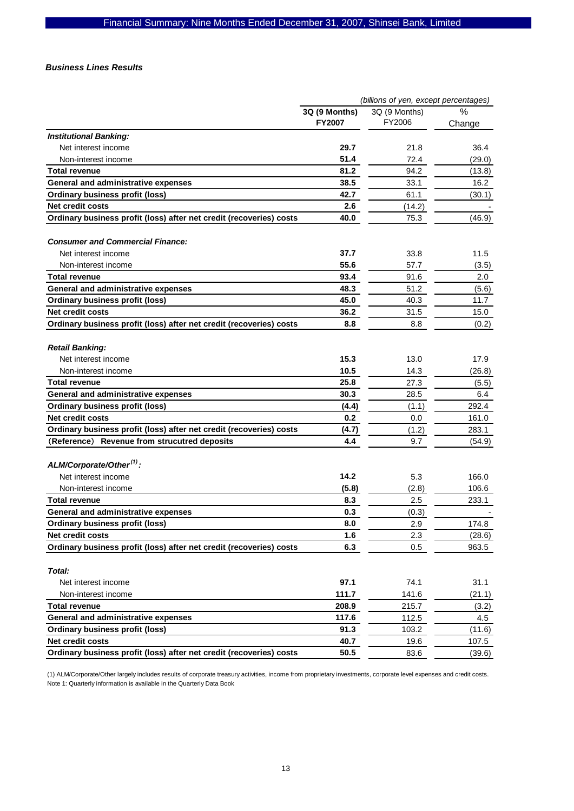#### *Business Lines Results*

|                                                                     |               | (billions of yen, except percentages) |        |
|---------------------------------------------------------------------|---------------|---------------------------------------|--------|
|                                                                     | 3Q (9 Months) | 3Q (9 Months)                         | $\%$   |
|                                                                     | <b>FY2007</b> | FY2006                                | Change |
| <b>Institutional Banking:</b>                                       |               |                                       |        |
| Net interest income                                                 | 29.7          | 21.8                                  | 36.4   |
| Non-interest income                                                 | 51.4          | 72.4                                  | (29.0) |
| <b>Total revenue</b>                                                | 81.2          | 94.2                                  | (13.8) |
| General and administrative expenses                                 | 38.5          | 33.1                                  | 16.2   |
| <b>Ordinary business profit (loss)</b>                              | 42.7          | 61.1                                  | (30.1) |
| <b>Net credit costs</b>                                             | 2.6           | (14.2)                                |        |
| Ordinary business profit (loss) after net credit (recoveries) costs | 40.0          | 75.3                                  | (46.9) |
| <b>Consumer and Commercial Finance:</b>                             |               |                                       |        |
| Net interest income                                                 | 37.7          | 33.8                                  | 11.5   |
| Non-interest income                                                 | 55.6          | 57.7                                  | (3.5)  |
| <b>Total revenue</b>                                                | 93.4          | 91.6                                  | 2.0    |
| General and administrative expenses                                 | 48.3          | 51.2                                  | (5.6)  |
| Ordinary business profit (loss)                                     | 45.0          | 40.3                                  | 11.7   |
| Net credit costs                                                    | 36.2          | 31.5                                  | 15.0   |
| Ordinary business profit (loss) after net credit (recoveries) costs | 8.8           | 8.8                                   | (0.2)  |
| <b>Retail Banking:</b>                                              |               |                                       |        |
| Net interest income                                                 | 15.3          | 13.0                                  | 17.9   |
| Non-interest income                                                 | 10.5          | 14.3                                  | (26.8) |
| Total revenue                                                       | 25.8          | 27.3                                  | (5.5)  |
| <b>General and administrative expenses</b>                          | 30.3          | 28.5                                  | 6.4    |
| <b>Ordinary business profit (loss)</b>                              | (4.4)         | (1.1)                                 | 292.4  |
| Net credit costs                                                    | 0.2           | 0.0                                   | 161.0  |
| Ordinary business profit (loss) after net credit (recoveries) costs | (4.7)         | (1.2)                                 | 283.1  |
| (Reference) Revenue from strucutred deposits                        | 4.4           | 9.7                                   | (54.9) |
|                                                                     |               |                                       |        |
| ALM/Corporate/Other <sup>(1)</sup> :                                |               |                                       |        |
| Net interest income                                                 | 14.2          | 5.3                                   | 166.0  |
| Non-interest income                                                 | (5.8)         | (2.8)                                 | 106.6  |
| <b>Total revenue</b>                                                | 8.3           | 2.5                                   | 233.1  |
| General and administrative expenses                                 | 0.3           | (0.3)                                 |        |
| <b>Ordinary business profit (loss)</b>                              | 8.0           | 2.9                                   | 174.8  |
| Net credit costs                                                    | 1.6           | 2.3                                   | (28.6) |
| Ordinary business profit (loss) after net credit (recoveries) costs | 6.3           | 0.5                                   | 963.5  |
| Total:                                                              |               |                                       |        |
| Net interest income                                                 | 97.1          | 74.1                                  | 31.1   |
| Non-interest income                                                 | 111.7         | 141.6                                 | (21.1) |
| <b>Total revenue</b>                                                | 208.9         | 215.7                                 | (3.2)  |
| General and administrative expenses                                 | 117.6         | 112.5                                 | 4.5    |
| <b>Ordinary business profit (loss)</b>                              | 91.3          | 103.2                                 | (11.6) |
| Net credit costs                                                    | 40.7          | 19.6                                  | 107.5  |
| Ordinary business profit (loss) after net credit (recoveries) costs | 50.5          | 83.6                                  | (39.6) |

(1) ALM/Corporate/Other largely includes results of corporate treasury activities, income from proprietary investments, corporate level expenses and credit costs. Note 1: Quarterly information is available in the Quarterly Data Book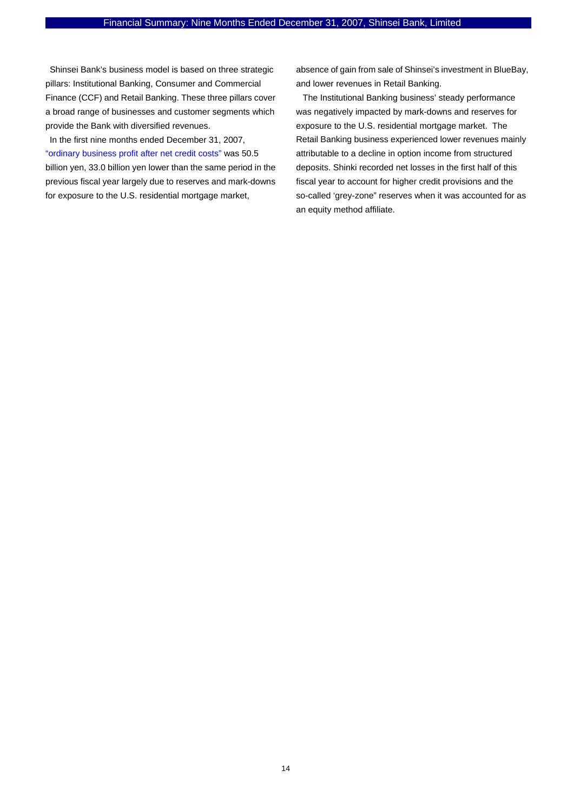Shinsei Bank's business model is based on three strategic pillars: Institutional Banking, Consumer and Commercial Finance (CCF) and Retail Banking. These three pillars cover a broad range of businesses and customer segments which provide the Bank with diversified revenues.

In the first nine months ended December 31, 2007, "ordinary business profit after net credit costs" was 50.5 billion yen, 33.0 billion yen lower than the same period in the previous fiscal year largely due to reserves and mark-downs for exposure to the U.S. residential mortgage market,

absence of gain from sale of Shinsei's investment in BlueBay, and lower revenues in Retail Banking.

 The Institutional Banking business' steady performance was negatively impacted by mark-downs and reserves for exposure to the U.S. residential mortgage market. The Retail Banking business experienced lower revenues mainly attributable to a decline in option income from structured deposits. Shinki recorded net losses in the first half of this fiscal year to account for higher credit provisions and the so-called 'grey-zone" reserves when it was accounted for as an equity method affiliate.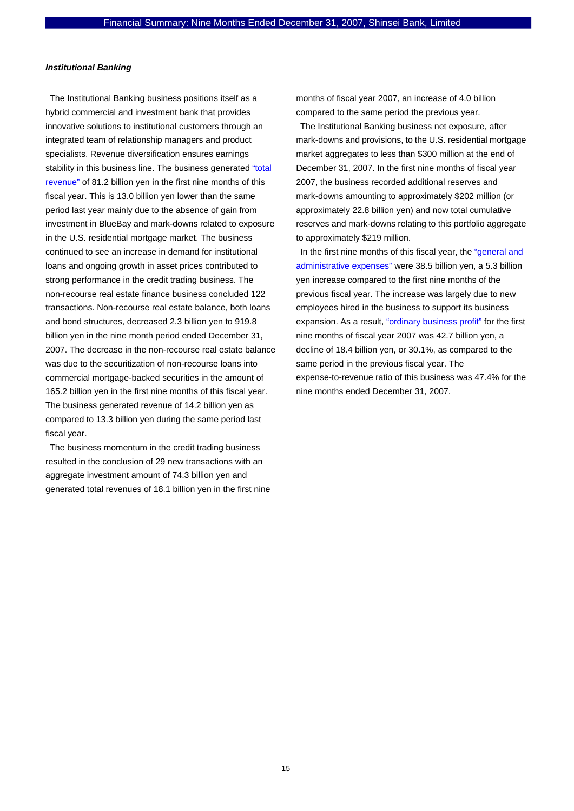## *Institutional Banking*

The Institutional Banking business positions itself as a hybrid commercial and investment bank that provides innovative solutions to institutional customers through an integrated team of relationship managers and product specialists. Revenue diversification ensures earnings stability in this business line. The business generated "total revenue" of 81.2 billion yen in the first nine months of this fiscal year. This is 13.0 billion yen lower than the same period last year mainly due to the absence of gain from investment in BlueBay and mark-downs related to exposure in the U.S. residential mortgage market. The business continued to see an increase in demand for institutional loans and ongoing growth in asset prices contributed to strong performance in the credit trading business. The non-recourse real estate finance business concluded 122 transactions. Non-recourse real estate balance, both loans and bond structures, decreased 2.3 billion yen to 919.8 billion yen in the nine month period ended December 31, 2007. The decrease in the non-recourse real estate balance was due to the securitization of non-recourse loans into commercial mortgage-backed securities in the amount of 165.2 billion yen in the first nine months of this fiscal year. The business generated revenue of 14.2 billion yen as compared to 13.3 billion yen during the same period last fiscal year.

The business momentum in the credit trading business resulted in the conclusion of 29 new transactions with an aggregate investment amount of 74.3 billion yen and generated total revenues of 18.1 billion yen in the first nine

months of fiscal year 2007, an increase of 4.0 billion compared to the same period the previous year.

The Institutional Banking business net exposure, after mark-downs and provisions, to the U.S. residential mortgage market aggregates to less than \$300 million at the end of December 31, 2007. In the first nine months of fiscal year 2007, the business recorded additional reserves and mark-downs amounting to approximately \$202 million (or approximately 22.8 billion yen) and now total cumulative reserves and mark-downs relating to this portfolio aggregate to approximately \$219 million.

In the first nine months of this fiscal year, the "general and administrative expenses" were 38.5 billion yen, a 5.3 billion yen increase compared to the first nine months of the previous fiscal year. The increase was largely due to new employees hired in the business to support its business expansion. As a result, "ordinary business profit" for the first nine months of fiscal year 2007 was 42.7 billion yen, a decline of 18.4 billion yen, or 30.1%, as compared to the same period in the previous fiscal year. The expense-to-revenue ratio of this business was 47.4% for the nine months ended December 31, 2007.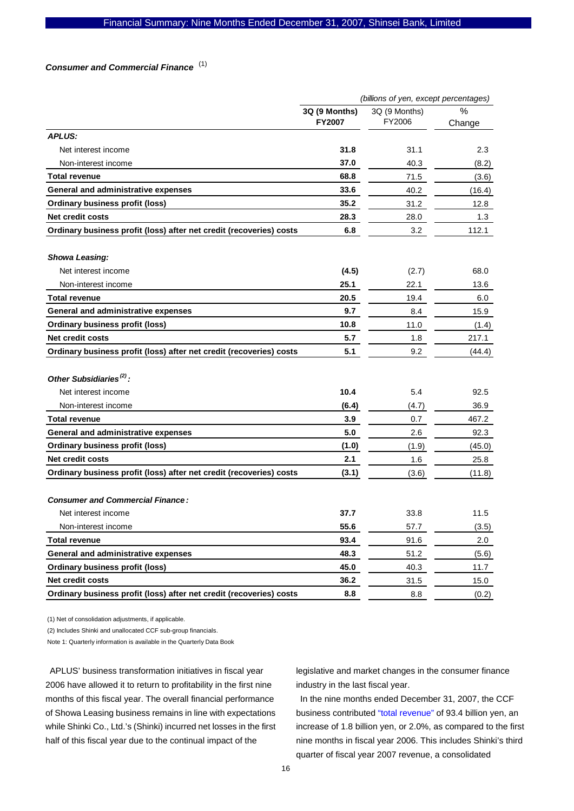## *Consumer and Commercial Finance*  (1)

|                                                                     | (billions of yen, except percentages) |                         |             |  |  |
|---------------------------------------------------------------------|---------------------------------------|-------------------------|-------------|--|--|
|                                                                     | 3Q (9 Months)<br><b>FY2007</b>        | 3Q (9 Months)<br>FY2006 | ℅<br>Change |  |  |
| <b>APLUS:</b>                                                       |                                       |                         |             |  |  |
| Net interest income                                                 | 31.8                                  | 31.1                    | 2.3         |  |  |
| Non-interest income                                                 | 37.0                                  | 40.3                    | (8.2)       |  |  |
| <b>Total revenue</b>                                                | 68.8                                  | 71.5                    | (3.6)       |  |  |
| General and administrative expenses                                 | 33.6                                  | 40.2                    | (16.4)      |  |  |
| <b>Ordinary business profit (loss)</b>                              | 35.2                                  | 31.2                    | 12.8        |  |  |
| <b>Net credit costs</b>                                             | 28.3                                  | 28.0                    | 1.3         |  |  |
| Ordinary business profit (loss) after net credit (recoveries) costs | 6.8                                   | 3.2                     | 112.1       |  |  |
| <b>Showa Leasing:</b>                                               |                                       |                         |             |  |  |
| Net interest income                                                 | (4.5)                                 | (2.7)                   | 68.0        |  |  |
| Non-interest income                                                 | 25.1                                  | 22.1                    | 13.6        |  |  |
| <b>Total revenue</b>                                                | 20.5                                  | 19.4                    | 6.0         |  |  |
| General and administrative expenses                                 | 9.7                                   | 8.4                     | 15.9        |  |  |
| <b>Ordinary business profit (loss)</b>                              | 10.8                                  | 11.0                    | (1.4)       |  |  |
| Net credit costs                                                    | 5.7                                   | 1.8                     | 217.1       |  |  |
| Ordinary business profit (loss) after net credit (recoveries) costs | 5.1                                   | 9.2                     | (44.4)      |  |  |
| Other Subsidiaries <sup>(2)</sup> :                                 |                                       |                         |             |  |  |
| Net interest income                                                 | 10.4                                  | 5.4                     | 92.5        |  |  |
| Non-interest income                                                 | (6.4)                                 | (4.7)                   | 36.9        |  |  |
| Total revenue                                                       | 3.9                                   | 0.7                     | 467.2       |  |  |
| General and administrative expenses                                 | 5.0                                   | 2.6                     | 92.3        |  |  |
| <b>Ordinary business profit (loss)</b>                              | (1.0)                                 | (1.9)                   | (45.0)      |  |  |
| <b>Net credit costs</b>                                             | 2.1                                   | 1.6                     | 25.8        |  |  |
| Ordinary business profit (loss) after net credit (recoveries) costs | (3.1)                                 | (3.6)                   | (11.8)      |  |  |
| <b>Consumer and Commercial Finance:</b>                             |                                       |                         |             |  |  |
| Net interest income                                                 | 37.7                                  | 33.8                    | 11.5        |  |  |
| Non-interest income                                                 | 55.6                                  | 57.7                    | (3.5)       |  |  |
| <b>Total revenue</b>                                                | 93.4                                  | 91.6                    | 2.0         |  |  |
| General and administrative expenses                                 | 48.3                                  | 51.2                    | (5.6)       |  |  |
| <b>Ordinary business profit (loss)</b>                              | 45.0                                  | 40.3                    | 11.7        |  |  |
| Net credit costs                                                    | 36.2                                  | 31.5                    | 15.0        |  |  |
| Ordinary business profit (loss) after net credit (recoveries) costs | 8.8                                   | 8.8                     | (0.2)       |  |  |

(1) Net of consolidation adjustments, if applicable.

(2) Includes Shinki and unallocated CCF sub-group financials.

Note 1: Quarterly information is available in the Quarterly Data Book

APLUS' business transformation initiatives in fiscal year 2006 have allowed it to return to profitability in the first nine months of this fiscal year. The overall financial performance of Showa Leasing business remains in line with expectations while Shinki Co., Ltd.'s (Shinki) incurred net losses in the first half of this fiscal year due to the continual impact of the

legislative and market changes in the consumer finance industry in the last fiscal year.

In the nine months ended December 31, 2007, the CCF business contributed "total revenue" of 93.4 billion yen, an increase of 1.8 billion yen, or 2.0%, as compared to the first nine months in fiscal year 2006. This includes Shinki's third quarter of fiscal year 2007 revenue, a consolidated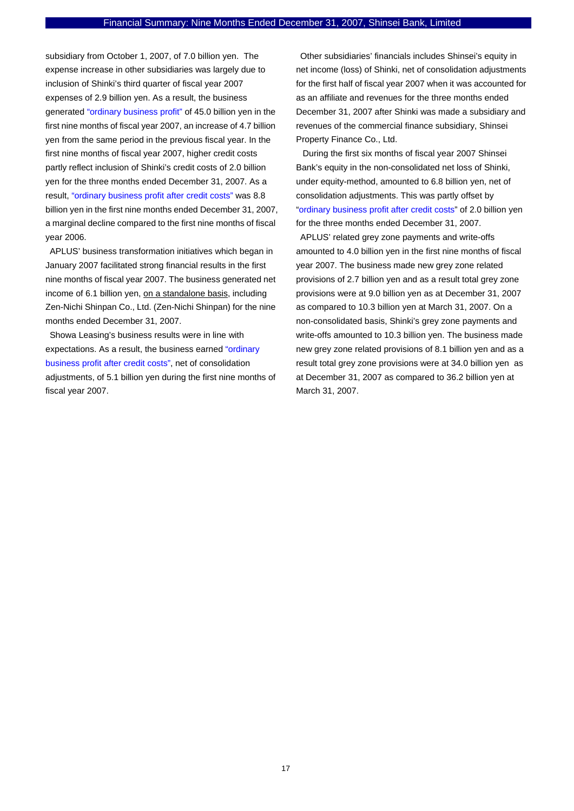subsidiary from October 1, 2007, of 7.0 billion yen. The expense increase in other subsidiaries was largely due to inclusion of Shinki's third quarter of fiscal year 2007 expenses of 2.9 billion yen. As a result, the business generated "ordinary business profit" of 45.0 billion yen in the first nine months of fiscal year 2007, an increase of 4.7 billion yen from the same period in the previous fiscal year. In the first nine months of fiscal year 2007, higher credit costs partly reflect inclusion of Shinki's credit costs of 2.0 billion yen for the three months ended December 31, 2007. As a result, "ordinary business profit after credit costs" was 8.8 billion yen in the first nine months ended December 31, 2007, a marginal decline compared to the first nine months of fiscal year 2006.

APLUS' business transformation initiatives which began in January 2007 facilitated strong financial results in the first nine months of fiscal year 2007. The business generated net income of 6.1 billion yen, on a standalone basis, including Zen-Nichi Shinpan Co., Ltd. (Zen-Nichi Shinpan) for the nine months ended December 31, 2007.

Showa Leasing's business results were in line with expectations. As a result, the business earned "ordinary business profit after credit costs", net of consolidation adjustments, of 5.1 billion yen during the first nine months of fiscal year 2007.

Other subsidiaries' financials includes Shinsei's equity in net income (loss) of Shinki, net of consolidation adjustments for the first half of fiscal year 2007 when it was accounted for as an affiliate and revenues for the three months ended December 31, 2007 after Shinki was made a subsidiary and revenues of the commercial finance subsidiary, Shinsei Property Finance Co., Ltd.

 During the first six months of fiscal year 2007 Shinsei Bank's equity in the non-consolidated net loss of Shinki, under equity-method, amounted to 6.8 billion yen, net of consolidation adjustments. This was partly offset by "ordinary business profit after credit costs" of 2.0 billion yen for the three months ended December 31, 2007.

APLUS' related grey zone payments and write-offs amounted to 4.0 billion yen in the first nine months of fiscal year 2007. The business made new grey zone related provisions of 2.7 billion yen and as a result total grey zone provisions were at 9.0 billion yen as at December 31, 2007 as compared to 10.3 billion yen at March 31, 2007. On a non-consolidated basis, Shinki's grey zone payments and write-offs amounted to 10.3 billion yen. The business made new grey zone related provisions of 8.1 billion yen and as a result total grey zone provisions were at 34.0 billion yen as at December 31, 2007 as compared to 36.2 billion yen at March 31, 2007.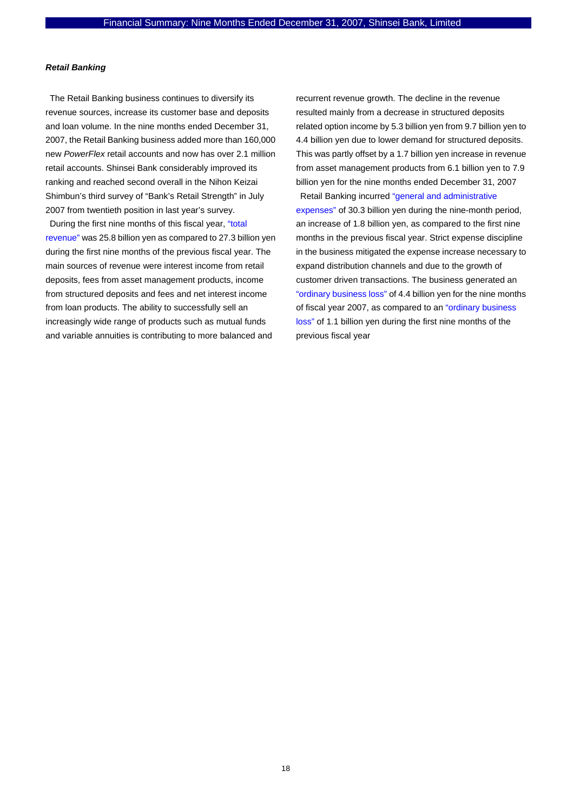## *Retail Banking*

The Retail Banking business continues to diversify its revenue sources, increase its customer base and deposits and loan volume. In the nine months ended December 31, 2007, the Retail Banking business added more than 160,000 new *PowerFlex* retail accounts and now has over 2.1 million retail accounts. Shinsei Bank considerably improved its ranking and reached second overall in the Nihon Keizai Shimbun's third survey of "Bank's Retail Strength" in July 2007 from twentieth position in last year's survey.

During the first nine months of this fiscal year, "total revenue" was 25.8 billion yen as compared to 27.3 billion yen during the first nine months of the previous fiscal year. The main sources of revenue were interest income from retail deposits, fees from asset management products, income from structured deposits and fees and net interest income from loan products. The ability to successfully sell an increasingly wide range of products such as mutual funds and variable annuities is contributing to more balanced and

recurrent revenue growth. The decline in the revenue resulted mainly from a decrease in structured deposits related option income by 5.3 billion yen from 9.7 billion yen to 4.4 billion yen due to lower demand for structured deposits. This was partly offset by a 1.7 billion yen increase in revenue from asset management products from 6.1 billion yen to 7.9 billion yen for the nine months ended December 31, 2007

Retail Banking incurred "general and administrative expenses" of 30.3 billion yen during the nine-month period, an increase of 1.8 billion yen, as compared to the first nine months in the previous fiscal year. Strict expense discipline in the business mitigated the expense increase necessary to expand distribution channels and due to the growth of customer driven transactions. The business generated an "ordinary business loss" of 4.4 billion yen for the nine months of fiscal year 2007, as compared to an "ordinary business loss" of 1.1 billion yen during the first nine months of the previous fiscal year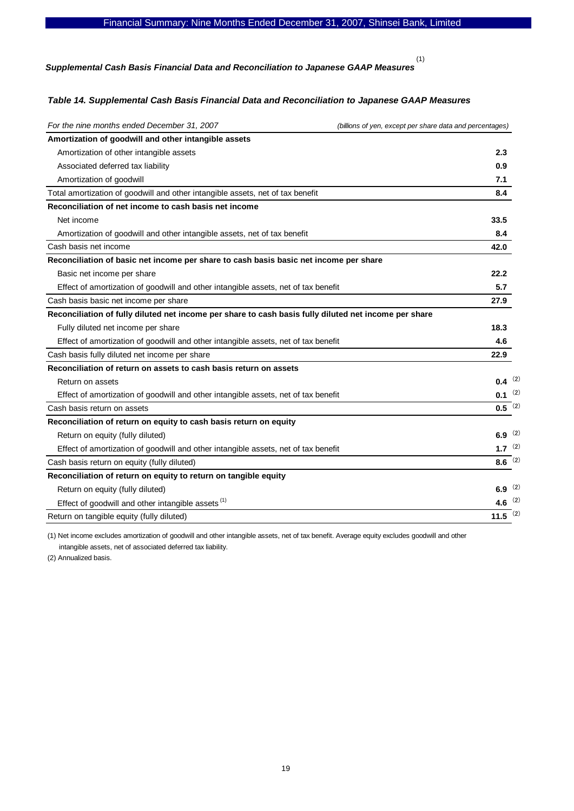*Supplemental Cash Basis Financial Data and Reconciliation to Japanese GAAP Measures* 

(1)

## *Table 14. Supplemental Cash Basis Financial Data and Reconciliation to Japanese GAAP Measures*

| For the nine months ended December 31, 2007                                                           | (billions of yen, except per share data and percentages) |
|-------------------------------------------------------------------------------------------------------|----------------------------------------------------------|
| Amortization of goodwill and other intangible assets                                                  |                                                          |
| Amortization of other intangible assets                                                               | 2.3                                                      |
| Associated deferred tax liability                                                                     | 0.9                                                      |
| Amortization of goodwill                                                                              | 7.1                                                      |
| Total amortization of goodwill and other intangible assets, net of tax benefit                        | 8.4                                                      |
| Reconciliation of net income to cash basis net income                                                 |                                                          |
| Net income                                                                                            | 33.5                                                     |
| Amortization of goodwill and other intangible assets, net of tax benefit                              | 8.4                                                      |
| Cash basis net income                                                                                 | 42.0                                                     |
| Reconciliation of basic net income per share to cash basis basic net income per share                 |                                                          |
| Basic net income per share                                                                            | 22.2                                                     |
| Effect of amortization of goodwill and other intangible assets, net of tax benefit                    | 5.7                                                      |
| Cash basis basic net income per share                                                                 | 27.9                                                     |
| Reconciliation of fully diluted net income per share to cash basis fully diluted net income per share |                                                          |
| Fully diluted net income per share                                                                    | 18.3                                                     |
| Effect of amortization of goodwill and other intangible assets, net of tax benefit                    | 4.6                                                      |
| Cash basis fully diluted net income per share                                                         | 22.9                                                     |
| Reconciliation of return on assets to cash basis return on assets                                     |                                                          |
| Return on assets                                                                                      | $0.4$ (2)                                                |
| Effect of amortization of goodwill and other intangible assets, net of tax benefit                    | $0.1$ (2)                                                |
| Cash basis return on assets                                                                           | $0.5^{(2)}$                                              |
| Reconciliation of return on equity to cash basis return on equity                                     |                                                          |
| Return on equity (fully diluted)                                                                      | 6.9 $(2)$                                                |
| Effect of amortization of goodwill and other intangible assets, net of tax benefit                    | 1.7 $(2)$                                                |
| Cash basis return on equity (fully diluted)                                                           | 8.6 $(2)$                                                |
| Reconciliation of return on equity to return on tangible equity                                       |                                                          |
| Return on equity (fully diluted)                                                                      | 6.9 $(2)$                                                |
| Effect of goodwill and other intangible assets <sup>(1)</sup>                                         | 4.6 $(2)$                                                |
| Return on tangible equity (fully diluted)                                                             | 11.5 $(2)$                                               |

(1) Net income excludes amortization of goodwill and other intangible assets, net of tax benefit. Average equity excludes goodwill and other intangible assets, net of associated deferred tax liability.

(2) Annualized basis.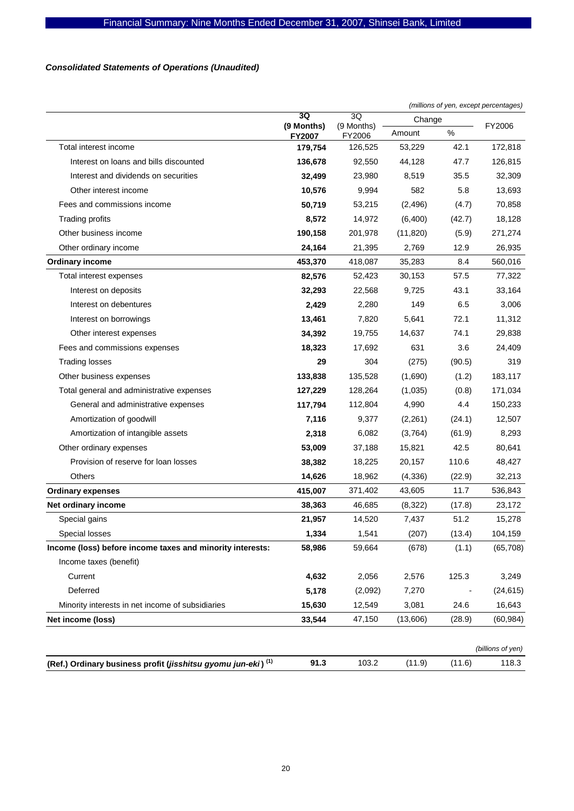## *Consolidated Statements of Operations (Unaudited)*

|                                                                          |                      |                      | (millions of yen, except percentages) |        |                   |  |
|--------------------------------------------------------------------------|----------------------|----------------------|---------------------------------------|--------|-------------------|--|
|                                                                          | 3Q                   | 3Q                   | Change                                |        |                   |  |
|                                                                          | (9 Months)<br>FY2007 | (9 Months)<br>FY2006 | Amount                                | $\%$   | FY2006            |  |
| Total interest income                                                    | 179,754              | 126,525              | 53,229                                | 42.1   | 172,818           |  |
| Interest on loans and bills discounted                                   | 136,678              | 92,550               | 44,128                                | 47.7   | 126,815           |  |
| Interest and dividends on securities                                     | 32,499               | 23,980               | 8,519                                 | 35.5   | 32,309            |  |
| Other interest income                                                    | 10,576               | 9,994                | 582                                   | 5.8    | 13,693            |  |
| Fees and commissions income                                              | 50,719               | 53,215               | (2, 496)                              | (4.7)  | 70,858            |  |
| <b>Trading profits</b>                                                   | 8,572                | 14,972               | (6,400)                               | (42.7) | 18,128            |  |
| Other business income                                                    | 190,158              | 201,978              | (11, 820)                             | (5.9)  | 271,274           |  |
| Other ordinary income                                                    | 24,164               | 21,395               | 2,769                                 | 12.9   | 26,935            |  |
| <b>Ordinary income</b>                                                   | 453,370              | 418,087              | 35,283                                | 8.4    | 560,016           |  |
| Total interest expenses                                                  | 82,576               | 52,423               | 30,153                                | 57.5   | 77,322            |  |
| Interest on deposits                                                     | 32,293               | 22,568               | 9,725                                 | 43.1   | 33,164            |  |
| Interest on debentures                                                   | 2,429                | 2,280                | 149                                   | 6.5    | 3,006             |  |
| Interest on borrowings                                                   | 13,461               | 7,820                | 5,641                                 | 72.1   | 11,312            |  |
| Other interest expenses                                                  | 34,392               | 19,755               | 14,637                                | 74.1   | 29,838            |  |
| Fees and commissions expenses                                            | 18,323               | 17,692               | 631                                   | 3.6    | 24,409            |  |
| <b>Trading losses</b>                                                    | 29                   | 304                  | (275)                                 | (90.5) | 319               |  |
| Other business expenses                                                  | 133,838              | 135,528              | (1,690)                               | (1.2)  | 183,117           |  |
| Total general and administrative expenses                                | 127,229              | 128,264              | (1,035)                               | (0.8)  | 171,034           |  |
| General and administrative expenses                                      | 117,794              | 112,804              | 4,990                                 | 4.4    | 150,233           |  |
| Amortization of goodwill                                                 | 7,116                | 9,377                | (2,261)                               | (24.1) | 12,507            |  |
| Amortization of intangible assets                                        | 2,318                | 6,082                | (3,764)                               | (61.9) | 8,293             |  |
| Other ordinary expenses                                                  | 53,009               | 37,188               | 15,821                                | 42.5   | 80,641            |  |
| Provision of reserve for loan losses                                     | 38,382               | 18,225               | 20,157                                | 110.6  | 48,427            |  |
| <b>Others</b>                                                            | 14,626               | 18,962               | (4,336)                               | (22.9) | 32,213            |  |
| <b>Ordinary expenses</b>                                                 | 415,007              | 371,402              | 43,605                                | 11.7   | 536,843           |  |
| Net ordinary income                                                      | 38,363               | 46,685               | (8,322)                               | (17.8) | 23,172            |  |
| Special gains                                                            | 21,957               | 14,520               | 7,437                                 | 51.2   | 15,278            |  |
| Special losses                                                           | 1,334                | 1,541                | (207)                                 | (13.4) | 104,159           |  |
| Income (loss) before income taxes and minority interests:                | 58,986               | 59,664               | (678)                                 | (1.1)  | (65, 708)         |  |
| Income taxes (benefit)                                                   |                      |                      |                                       |        |                   |  |
| Current                                                                  | 4,632                | 2,056                | 2,576                                 | 125.3  | 3,249             |  |
| Deferred                                                                 | 5,178                | (2,092)              | 7,270                                 |        | (24, 615)         |  |
| Minority interests in net income of subsidiaries                         | 15,630               | 12,549               | 3,081                                 | 24.6   | 16,643            |  |
| Net income (loss)                                                        | 33,544               | 47,150               | (13,606)                              | (28.9) | (60, 984)         |  |
|                                                                          |                      |                      |                                       |        | (billions of yen) |  |
| (Ref.) Ordinary business profit (jisshitsu gyomu jun-eki) <sup>(1)</sup> | 91.3                 | 103.2                | (11.9)                                | (11.6) | 118.3             |  |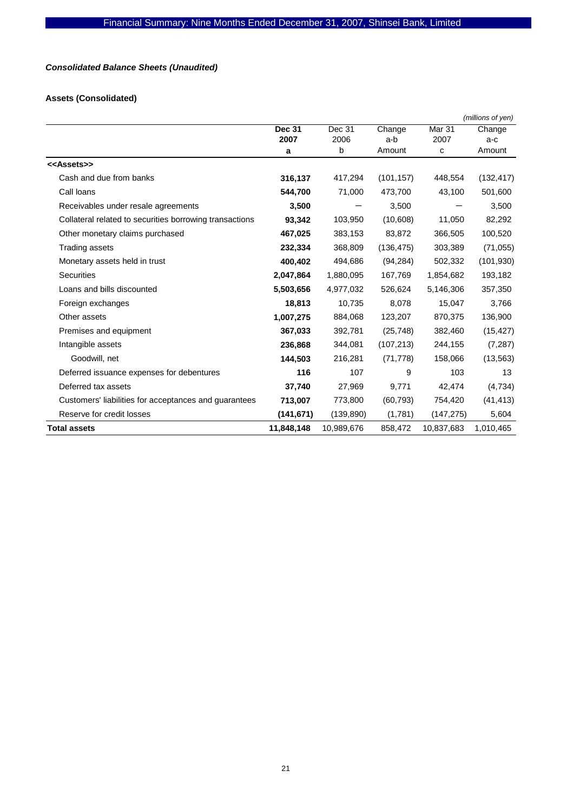## *Consolidated Balance Sheets (Unaudited)*

## **Assets (Consolidated)**

|                                                         |            |            |            |                   | (millions of yen) |
|---------------------------------------------------------|------------|------------|------------|-------------------|-------------------|
|                                                         | Dec 31     | Dec 31     | Change     | Mar <sub>31</sub> | Change            |
|                                                         | 2007       | 2006       | a-b        | 2007              | a-c               |
|                                                         | a          | b          | Amount     | C                 | Amount            |
| < <assets>&gt;</assets>                                 |            |            |            |                   |                   |
| Cash and due from banks                                 | 316,137    | 417,294    | (101, 157) | 448,554           | (132, 417)        |
| Call loans                                              | 544,700    | 71,000     | 473,700    | 43,100            | 501,600           |
| Receivables under resale agreements                     | 3,500      |            | 3,500      |                   | 3,500             |
| Collateral related to securities borrowing transactions | 93,342     | 103,950    | (10,608)   | 11,050            | 82,292            |
| Other monetary claims purchased                         | 467,025    | 383,153    | 83,872     | 366,505           | 100,520           |
| Trading assets                                          | 232,334    | 368,809    | (136, 475) | 303,389           | (71, 055)         |
| Monetary assets held in trust                           | 400,402    | 494,686    | (94, 284)  | 502,332           | (101, 930)        |
| <b>Securities</b>                                       | 2,047,864  | 1,880,095  | 167,769    | 1,854,682         | 193,182           |
| Loans and bills discounted                              | 5,503,656  | 4,977,032  | 526,624    | 5,146,306         | 357,350           |
| Foreign exchanges                                       | 18,813     | 10,735     | 8,078      | 15,047            | 3,766             |
| Other assets                                            | 1,007,275  | 884,068    | 123,207    | 870,375           | 136,900           |
| Premises and equipment                                  | 367,033    | 392,781    | (25, 748)  | 382,460           | (15, 427)         |
| Intangible assets                                       | 236,868    | 344,081    | (107, 213) | 244,155           | (7, 287)          |
| Goodwill, net                                           | 144,503    | 216,281    | (71, 778)  | 158,066           | (13, 563)         |
| Deferred issuance expenses for debentures               | 116        | 107        | 9          | 103               | 13                |
| Deferred tax assets                                     | 37,740     | 27,969     | 9,771      | 42,474            | (4,734)           |
| Customers' liabilities for acceptances and guarantees   | 713,007    | 773,800    | (60, 793)  | 754,420           | (41, 413)         |
| Reserve for credit losses                               | (141, 671) | (139, 890) | (1,781)    | (147, 275)        | 5,604             |
| <b>Total assets</b>                                     | 11,848,148 | 10,989,676 | 858,472    | 10,837,683        | 1,010,465         |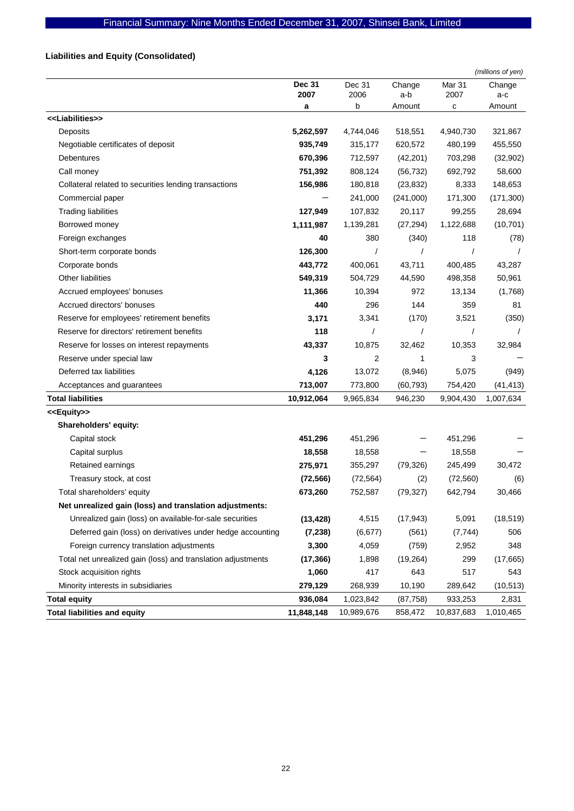## **Liabilities and Equity (Consolidated)**

|                                                              |                       |                |               |                | (millions of yen) |
|--------------------------------------------------------------|-----------------------|----------------|---------------|----------------|-------------------|
|                                                              | <b>Dec 31</b><br>2007 | Dec 31<br>2006 | Change<br>a-b | Mar 31<br>2007 | Change<br>a-c     |
|                                                              | а                     | b              | Amount        | c              | Amount            |
| < <liabilities>&gt;</liabilities>                            |                       |                |               |                |                   |
| Deposits                                                     | 5,262,597             | 4,744,046      | 518,551       | 4,940,730      | 321,867           |
| Negotiable certificates of deposit                           | 935,749               | 315,177        | 620,572       | 480,199        | 455,550           |
| Debentures                                                   | 670,396               | 712,597        | (42, 201)     | 703,298        | (32,902)          |
| Call money                                                   | 751,392               | 808,124        | (56, 732)     | 692,792        | 58,600            |
| Collateral related to securities lending transactions        | 156,986               | 180,818        | (23, 832)     | 8,333          | 148,653           |
| Commercial paper                                             |                       | 241,000        | (241,000)     | 171,300        | (171, 300)        |
| <b>Trading liabilities</b>                                   | 127,949               | 107,832        | 20,117        | 99,255         | 28,694            |
| Borrowed money                                               | 1,111,987             | 1,139,281      | (27, 294)     | 1,122,688      | (10, 701)         |
| Foreign exchanges                                            | 40                    | 380            | (340)         | 118            | (78)              |
| Short-term corporate bonds                                   | 126,300               |                |               |                |                   |
| Corporate bonds                                              | 443,772               | 400,061        | 43,711        | 400,485        | 43,287            |
| Other liabilities                                            | 549,319               | 504,729        | 44,590        | 498,358        | 50,961            |
| Accrued employees' bonuses                                   | 11,366                | 10,394         | 972           | 13,134         | (1,768)           |
| Accrued directors' bonuses                                   | 440                   | 296            | 144           | 359            | 81                |
| Reserve for employees' retirement benefits                   | 3,171                 | 3,341          | (170)         | 3,521          | (350)             |
| Reserve for directors' retirement benefits                   | 118                   | $\prime$       | 1             |                |                   |
| Reserve for losses on interest repayments                    | 43,337                | 10,875         | 32,462        | 10,353         | 32,984            |
| Reserve under special law                                    | 3                     | 2              | 1             | 3              |                   |
| Deferred tax liabilities                                     | 4,126                 | 13,072         | (8,946)       | 5,075          | (949)             |
| Acceptances and guarantees                                   | 713,007               | 773,800        | (60, 793)     | 754,420        | (41, 413)         |
| <b>Total liabilities</b>                                     | 10,912,064            | 9,965,834      | 946,230       | 9,904,430      | 1,007,634         |
| < <equity>&gt;</equity>                                      |                       |                |               |                |                   |
| Shareholders' equity:                                        |                       |                |               |                |                   |
| Capital stock                                                | 451,296               | 451,296        |               | 451,296        |                   |
| Capital surplus                                              | 18,558                | 18,558         |               | 18,558         |                   |
| Retained earnings                                            | 275,971               | 355,297        | (79, 326)     | 245,499        | 30,472            |
| Treasury stock, at cost                                      | (72, 566)             | (72, 564)      | (2)           | (72, 560)      | (6)               |
| Total shareholders' equity                                   | 673,260               | 752,587        | (79, 327)     | 642,794        | 30,466            |
| Net unrealized gain (loss) and translation adjustments:      |                       |                |               |                |                   |
| Unrealized gain (loss) on available-for-sale securities      | (13, 428)             | 4,515          | (17, 943)     | 5,091          | (18, 519)         |
| Deferred gain (loss) on derivatives under hedge accounting   | (7, 238)              | (6, 677)       | (561)         | (7, 744)       | 506               |
| Foreign currency translation adjustments                     | 3,300                 | 4,059          | (759)         | 2,952          | 348               |
| Total net unrealized gain (loss) and translation adjustments | (17, 366)             | 1,898          | (19, 264)     | 299            | (17,665)          |
| Stock acquisition rights                                     | 1,060                 | 417            | 643           | 517            | 543               |
| Minority interests in subsidiaries                           | 279,129               | 268,939        | 10,190        | 289,642        | (10, 513)         |
| <b>Total equity</b>                                          | 936,084               | 1,023,842      | (87, 758)     | 933,253        | 2,831             |
| <b>Total liabilities and equity</b>                          | 11,848,148            | 10,989,676     | 858,472       | 10,837,683     | 1,010,465         |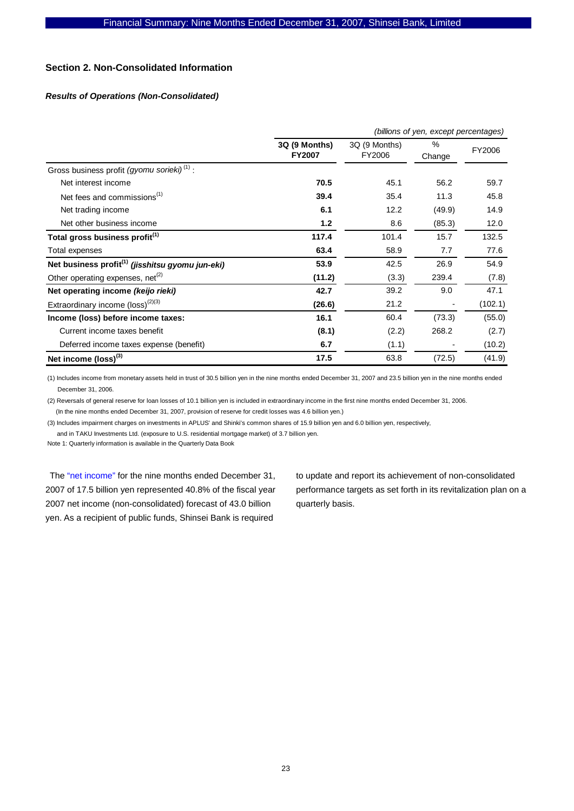## **Section 2. Non-Consolidated Information**

## *Results of Operations (Non-Consolidated)*

|                                                              | (billions of yen, except percentages) |                         |                |         |  |  |  |
|--------------------------------------------------------------|---------------------------------------|-------------------------|----------------|---------|--|--|--|
|                                                              | 3Q (9 Months)<br><b>FY2007</b>        | 3Q (9 Months)<br>FY2006 | $\%$<br>Change | FY2006  |  |  |  |
| Gross business profit (gyomu sorieki) <sup>(1)</sup> :       |                                       |                         |                |         |  |  |  |
| Net interest income                                          | 70.5                                  | 45.1                    | 56.2           | 59.7    |  |  |  |
| Net fees and commissions <sup>(1)</sup>                      | 39.4                                  | 35.4                    | 11.3           | 45.8    |  |  |  |
| Net trading income                                           | 6.1                                   | 12.2                    | (49.9)         | 14.9    |  |  |  |
| Net other business income                                    | 1.2                                   | 8.6                     | (85.3)         | 12.0    |  |  |  |
| Total gross business profit <sup>(1)</sup>                   | 117.4                                 | 101.4                   | 15.7           | 132.5   |  |  |  |
| Total expenses                                               | 63.4                                  | 58.9                    | 7.7            | 77.6    |  |  |  |
| Net business profit <sup>(1)</sup> (jisshitsu gyomu jun-eki) | 53.9                                  | 42.5                    | 26.9           | 54.9    |  |  |  |
| Other operating expenses, net <sup>(2)</sup>                 | (11.2)                                | (3.3)                   | 239.4          | (7.8)   |  |  |  |
| Net operating income (keijo rieki)                           | 42.7                                  | 39.2                    | 9.0            | 47.1    |  |  |  |
| Extraordinary income (loss) <sup>(2)(3)</sup>                | (26.6)                                | 21.2                    |                | (102.1) |  |  |  |
| Income (loss) before income taxes:                           | 16.1                                  | 60.4                    | (73.3)         | (55.0)  |  |  |  |
| Current income taxes benefit                                 | (8.1)                                 | (2.2)                   | 268.2          | (2.7)   |  |  |  |
| Deferred income taxes expense (benefit)                      | 6.7                                   | (1.1)                   |                | (10.2)  |  |  |  |
| Net income $(logs)$ <sup>(3)</sup>                           | 17.5                                  | 63.8                    | (72.5)         | (41.9)  |  |  |  |

(1) Includes income from monetary assets held in trust of 30.5 billion yen in the nine months ended December 31, 2007 and 23.5 billion yen in the nine months ended December 31, 2006.

(2) Reversals of general reserve for loan losses of 10.1 billion yen is included in extraordinary income in the first nine months ended December 31, 2006. (In the nine months ended December 31, 2007, provision of reserve for credit losses was 4.6 billion yen.)

(3) Includes impairment charges on investments in APLUS' and Shinki's common shares of 15.9 billion yen and 6.0 billion yen, respectively, and in TAKU Investments Ltd. (exposure to U.S. residential mortgage market) of 3.7 billion yen.

Note 1: Quarterly information is available in the Quarterly Data Book

The "net income" for the nine months ended December 31, 2007 of 17.5 billion yen represented 40.8% of the fiscal year 2007 net income (non-consolidated) forecast of 43.0 billion yen. As a recipient of public funds, Shinsei Bank is required

to update and report its achievement of non-consolidated performance targets as set forth in its revitalization plan on a quarterly basis.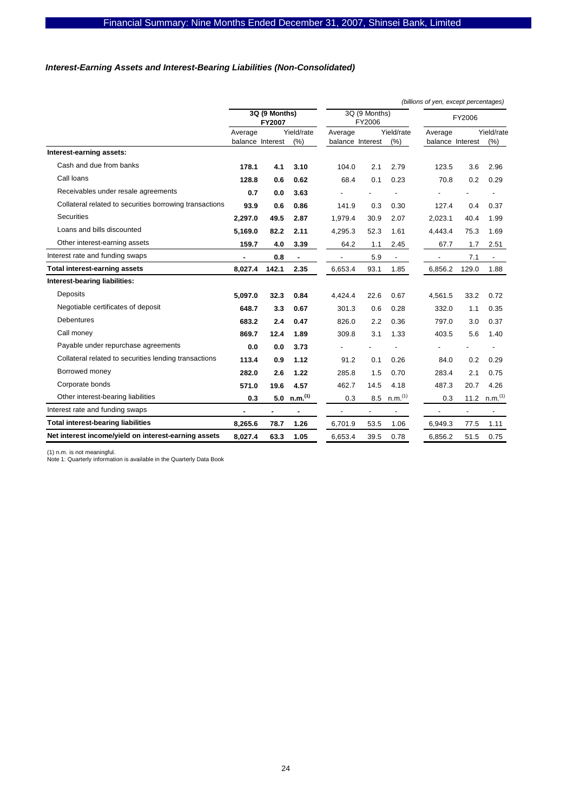## *Interest-Earning Assets and Interest-Bearing Liabilities (Non-Consolidated)*

|                                                         |         |                                |                     |                  |                         |                          | (billions of yen, except percentages) |                          |                       |
|---------------------------------------------------------|---------|--------------------------------|---------------------|------------------|-------------------------|--------------------------|---------------------------------------|--------------------------|-----------------------|
|                                                         |         | 3Q (9 Months)<br><b>FY2007</b> |                     |                  | 3Q (9 Months)<br>FY2006 |                          |                                       | FY2006                   |                       |
|                                                         | Average |                                | Yield/rate          | Average          |                         | Yield/rate               | Average                               |                          | Yield/rate            |
|                                                         |         | balance Interest               | (% )                | balance Interest |                         | (% )                     | balance Interest                      |                          | (%)                   |
| Interest-earning assets:                                |         |                                |                     |                  |                         |                          |                                       |                          |                       |
| Cash and due from banks                                 | 178.1   | 4.1                            | 3.10                | 104.0            | 2.1                     | 2.79                     | 123.5                                 | 3.6                      | 2.96                  |
| Call loans                                              | 128.8   | 0.6                            | 0.62                | 68.4             | 0.1                     | 0.23                     | 70.8                                  | 0.2                      | 0.29                  |
| Receivables under resale agreements                     | 0.7     | 0.0                            | 3.63                |                  |                         |                          |                                       |                          |                       |
| Collateral related to securities borrowing transactions | 93.9    | 0.6                            | 0.86                | 141.9            | 0.3                     | 0.30                     | 127.4                                 | 0.4                      | 0.37                  |
| <b>Securities</b>                                       | 2.297.0 | 49.5                           | 2.87                | 1.979.4          | 30.9                    | 2.07                     | 2.023.1                               | 40.4                     | 1.99                  |
| Loans and bills discounted                              | 5.169.0 | 82.2                           | 2.11                | 4,295.3          | 52.3                    | 1.61                     | 4.443.4                               | 75.3                     | 1.69                  |
| Other interest-earning assets                           | 159.7   | 4.0                            | 3.39                | 64.2             | 1.1                     | 2.45                     | 67.7                                  | 1.7                      | 2.51                  |
| Interest rate and funding swaps                         |         | 0.8                            | ٠                   | $\blacksquare$   | 5.9                     | $\overline{\phantom{a}}$ | $\overline{\phantom{a}}$              | 7.1                      | $\blacksquare$        |
| <b>Total interest-earning assets</b>                    | 8.027.4 | 142.1                          | 2.35                | 6.653.4          | 93.1                    | 1.85                     | 6,856.2                               | 129.0                    | 1.88                  |
| Interest-bearing liabilities:                           |         |                                |                     |                  |                         |                          |                                       |                          |                       |
| Deposits                                                | 5.097.0 | 32.3                           | 0.84                | 4,424.4          | 22.6                    | 0.67                     | 4.561.5                               | 33.2                     | 0.72                  |
| Negotiable certificates of deposit                      | 648.7   | 3.3                            | 0.67                | 301.3            | 0.6                     | 0.28                     | 332.0                                 | 1.1                      | 0.35                  |
| <b>Debentures</b>                                       | 683.2   | 2.4                            | 0.47                | 826.0            | 2.2                     | 0.36                     | 797.0                                 | 3.0                      | 0.37                  |
| Call money                                              | 869.7   | 12.4                           | 1.89                | 309.8            | 3.1                     | 1.33                     | 403.5                                 | 5.6                      | 1.40                  |
| Payable under repurchase agreements                     | 0.0     | 0.0                            | 3.73                |                  |                         |                          |                                       |                          |                       |
| Collateral related to securities lending transactions   | 113.4   | 0.9                            | 1.12                | 91.2             | 0.1                     | 0.26                     | 84.0                                  | 0.2                      | 0.29                  |
| Borrowed money                                          | 282.0   | 2.6                            | 1.22                | 285.8            | 1.5                     | 0.70                     | 283.4                                 | 2.1                      | 0.75                  |
| Corporate bonds                                         | 571.0   | 19.6                           | 4.57                | 462.7            | 14.5                    | 4.18                     | 487.3                                 | 20.7                     | 4.26                  |
| Other interest-bearing liabilities                      | 0.3     | 5.0                            | n.m. <sup>(1)</sup> | 0.3              | 8.5                     | n.m. <sup>(1)</sup>      | 0.3                                   | 11.2                     | $n.m.$ <sup>(1)</sup> |
| Interest rate and funding swaps                         |         |                                |                     |                  | $\overline{a}$          |                          |                                       | $\overline{\phantom{a}}$ | $\overline{a}$        |
| <b>Total interest-bearing liabilities</b>               | 8,265.6 | 78.7                           | 1.26                | 6.701.9          | 53.5                    | 1.06                     | 6,949.3                               | 77.5                     | 1.11                  |
| Net interest income/yield on interest-earning assets    | 8,027.4 | 63.3                           | 1.05                | 6,653.4          | 39.5                    | 0.78                     | 6,856.2                               | 51.5                     | 0.75                  |

(1) n.m. is not meaningful. Note 1: Quarterly information is available in the Quarterly Data Book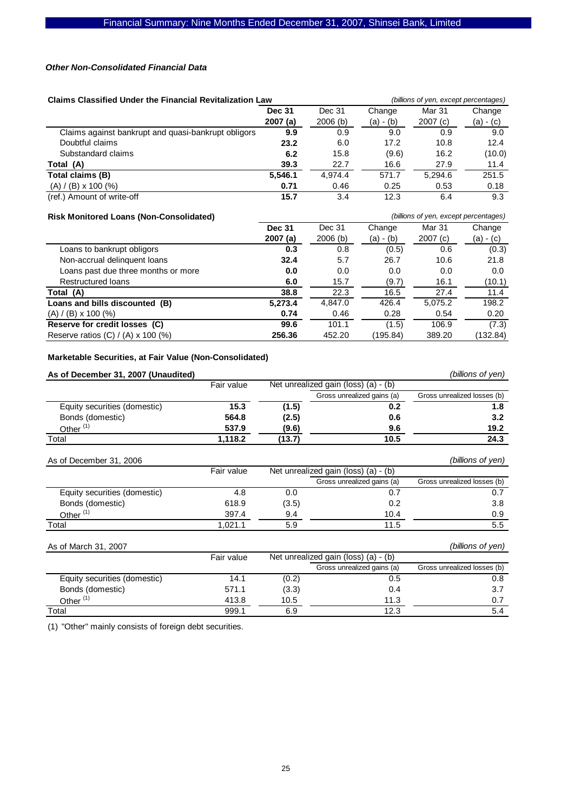#### *Other Non-Consolidated Financial Data*

| <b>Claims Classified Under the Financial Revitalization Law</b> |         |         |             | (billions of yen, except percentages) |             |
|-----------------------------------------------------------------|---------|---------|-------------|---------------------------------------|-------------|
| Dec 31<br><b>Dec 31</b>                                         |         |         | Change      | Mar 31                                | Change      |
|                                                                 | 2007(a) | 2006(b) | $(a) - (b)$ | 2007(c)                               | $(a) - (c)$ |
| Claims against bankrupt and quasi-bankrupt obligors             | 9.9     | 0.9     | 9.0         | 0.9                                   | 9.0         |
| Doubtful claims                                                 | 23.2    | 6.0     | 17.2        | 10.8                                  | 12.4        |
| Substandard claims                                              | 6.2     | 15.8    | (9.6)       | 16.2                                  | (10.0)      |
| Total (A)                                                       | 39.3    | 22.7    | 16.6        | 27.9                                  | 11.4        |
| Total claims (B)                                                | 5,546.1 | 4.974.4 | 571.7       | 5.294.6                               | 251.5       |
| $(A) / (B) \times 100$ (%)                                      | 0.71    | 0.46    | 0.25        | 0.53                                  | 0.18        |
| (ref.) Amount of write-off                                      | 15.7    | 3.4     | 12.3        | 6.4                                   | 9.3         |

## **Risk Monitored Loans (Non-Consolidated)** *(billions of yen, except percentages)*

|                                           | <b>Dec 31</b> | Dec 31     | Change      | Mar 31  | Change      |
|-------------------------------------------|---------------|------------|-------------|---------|-------------|
|                                           | 2007(a)       | $2006$ (b) | $(a) - (b)$ | 2007(c) | $(a) - (c)$ |
| Loans to bankrupt obligors                | 0.3           | 0.8        | (0.5)       | 0.6     | (0.3)       |
| Non-accrual delinguent loans              | 32.4          | 5.7        | 26.7        | 10.6    | 21.8        |
| Loans past due three months or more       | 0.0           | 0.0        | 0.0         | 0.0     | 0.0         |
| <b>Restructured loans</b>                 | 6.0           | 15.7       | (9.7)       | 16.1    | (10.1)      |
| Total (A)                                 | 38.8          | 22.3       | 16.5        | 27.4    | 11.4        |
| Loans and bills discounted (B)            | 5,273.4       | 4,847.0    | 426.4       | 5,075.2 | 198.2       |
| $(A) / (B) \times 100 (%)$                | 0.74          | 0.46       | 0.28        | 0.54    | 0.20        |
| Reserve for credit losses (C)             | 99.6          | 101.1      | (1.5)       | 106.9   | (7.3)       |
| Reserve ratios $(C) / (A) \times 100$ (%) | 256.36        | 452.20     | (195.84)    | 389.20  | (132.84)    |
|                                           |               |            |             |         |             |

## **Marketable Securities, at Fair Value (Non-Consolidated)**

| As of December 31, 2007 (Unaudited) |            |        |                                      | (billions of yen)           |
|-------------------------------------|------------|--------|--------------------------------------|-----------------------------|
|                                     | Fair value |        | Net unrealized gain (loss) (a) - (b) |                             |
|                                     |            |        | Gross unrealized gains (a)           | Gross unrealized losses (b) |
| Equity securities (domestic)        | 15.3       | (1.5)  | 0.2                                  | 1.8                         |
| Bonds (domestic)                    | 564.8      | (2.5)  | 0.6                                  | 3.2                         |
| Other <sup>(1)</sup>                | 537.9      | (9.6)  | 9.6                                  | 19.2                        |
| Total                               | 1,118.2    | (13.7) | 10.5                                 | 24.3                        |
| As of December 31, 2006             |            |        |                                      | (billions of yen)           |
|                                     | Fair value |        | Net unrealized gain (loss) (a) - (b) |                             |
|                                     |            |        | Gross unrealized gains (a)           | Gross unrealized losses (b) |
| Equity securities (domestic)        | 4.8        | 0.0    | 0.7                                  | 0.7                         |
| Bonds (domestic)                    | 618.9      | (3.5)  | 0.2                                  | 3.8                         |
| Other <sup>(1)</sup>                | 397.4      | 9.4    | 10.4                                 | 0.9                         |
| Total                               | 1,021.1    | 5.9    | 11.5                                 | 5.5                         |
| As of March 31, 2007                |            |        |                                      | (billions of yen)           |
|                                     | Fair value |        | Net unrealized gain (loss) (a) - (b) |                             |
|                                     |            |        | Gross unrealized gains (a)           | Gross unrealized losses (b) |
| Equity securities (domestic)        | 14.1       | (0.2)  | 0.5                                  | 0.8                         |
| Bonds (domestic)                    | 571.1      | (3.3)  | 0.4                                  | 3.7                         |
| Other <sup>(1)</sup>                | 413.8      | 10.5   | 11.3                                 | 0.7                         |
| Total                               | 999.1      | 6.9    | 12.3                                 | 5.4                         |

(1) "Other" mainly consists of foreign debt securities.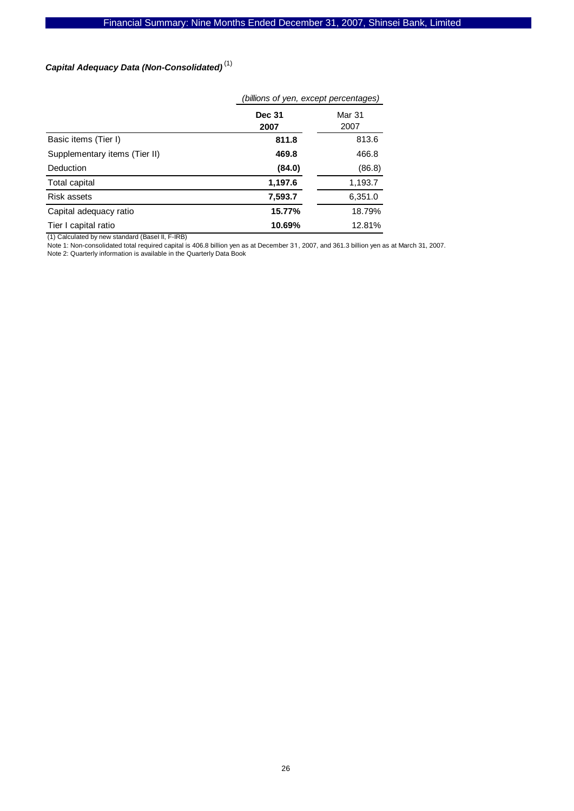## *Capital Adequacy Data (Non-Consolidated)*  (1)

|                               | (billions of yen, except percentages) |                |  |
|-------------------------------|---------------------------------------|----------------|--|
|                               | <b>Dec 31</b><br>2007                 | Mar 31<br>2007 |  |
| Basic items (Tier I)          | 811.8                                 | 813.6          |  |
| Supplementary items (Tier II) | 469.8                                 | 466.8          |  |
| Deduction                     | (84.0)                                | (86.8)         |  |
| Total capital                 | 1,197.6                               | 1,193.7        |  |
| Risk assets                   | 7,593.7                               | 6,351.0        |  |
| Capital adequacy ratio        | 15.77%                                | 18.79%         |  |
| Tier I capital ratio          | 10.69%                                | 12.81%         |  |

(1) Calculated by new standard (BaseI II, F-IRB)

Note 1: Non-consolidated total required capital is 406.8 billion yen as at December 31, 2007, and 361.3 billion yen as at March 31, 2007.

Note 2: Quarterly information is available in the Quarterly Data Book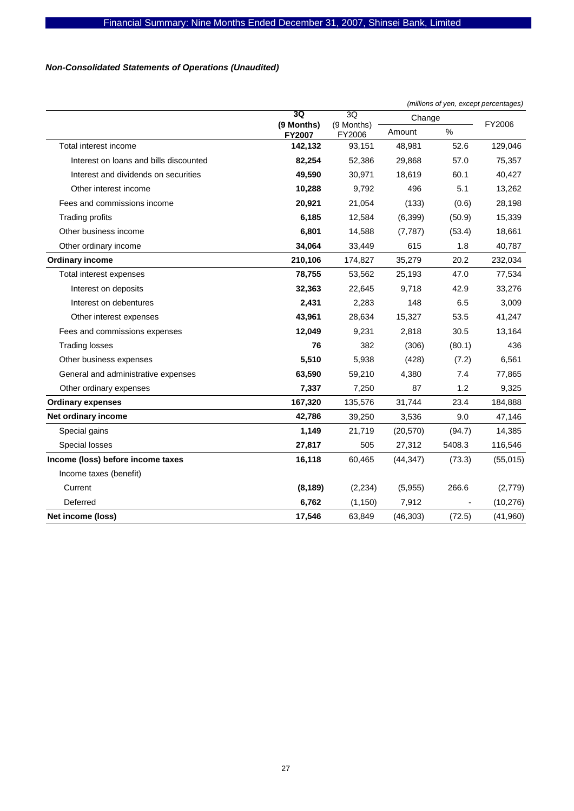## *Non-Consolidated Statements of Operations (Unaudited)*

|                                        |                      |                            |           |        | (millions of yen, except percentages) |  |  |
|----------------------------------------|----------------------|----------------------------|-----------|--------|---------------------------------------|--|--|
|                                        | 3Q                   | 3Q<br>(9 Months)<br>FY2006 | Change    |        |                                       |  |  |
|                                        | (9 Months)<br>FY2007 |                            | Amount    | %      | FY2006                                |  |  |
| Total interest income                  | 142,132              | 93,151                     | 48,981    | 52.6   | 129,046                               |  |  |
| Interest on loans and bills discounted | 82,254               | 52,386                     | 29,868    | 57.0   | 75,357                                |  |  |
| Interest and dividends on securities   | 49,590               | 30,971                     | 18,619    | 60.1   | 40,427                                |  |  |
| Other interest income                  | 10,288               | 9,792                      | 496       | 5.1    | 13,262                                |  |  |
| Fees and commissions income            | 20,921               | 21,054                     | (133)     | (0.6)  | 28,198                                |  |  |
| <b>Trading profits</b>                 | 6,185                | 12,584                     | (6, 399)  | (50.9) | 15,339                                |  |  |
| Other business income                  | 6,801                | 14,588                     | (7, 787)  | (53.4) | 18,661                                |  |  |
| Other ordinary income                  | 34.064               | 33,449                     | 615       | 1.8    | 40,787                                |  |  |
| <b>Ordinary income</b>                 | 210,106              | 174,827                    | 35,279    | 20.2   | 232,034                               |  |  |
| Total interest expenses                | 78,755               | 53,562                     | 25,193    | 47.0   | 77,534                                |  |  |
| Interest on deposits                   | 32,363               | 22,645                     | 9,718     | 42.9   | 33,276                                |  |  |
| Interest on debentures                 | 2,431                | 2,283                      | 148       | 6.5    | 3,009                                 |  |  |
| Other interest expenses                | 43,961               | 28,634                     | 15,327    | 53.5   | 41,247                                |  |  |
| Fees and commissions expenses          | 12,049               | 9,231                      | 2,818     | 30.5   | 13,164                                |  |  |
| <b>Trading losses</b>                  | 76                   | 382                        | (306)     | (80.1) | 436                                   |  |  |
| Other business expenses                | 5,510                | 5,938                      | (428)     | (7.2)  | 6,561                                 |  |  |
| General and administrative expenses    | 63,590               | 59,210                     | 4,380     | 7.4    | 77,865                                |  |  |
| Other ordinary expenses                | 7,337                | 7,250                      | 87        | 1.2    | 9,325                                 |  |  |
| <b>Ordinary expenses</b>               | 167,320              | 135,576                    | 31,744    | 23.4   | 184,888                               |  |  |
| Net ordinary income                    | 42,786               | 39,250                     | 3,536     | 9.0    | 47,146                                |  |  |
| Special gains                          | 1,149                | 21,719                     | (20, 570) | (94.7) | 14,385                                |  |  |
| Special losses                         | 27,817               | 505                        | 27,312    | 5408.3 | 116,546                               |  |  |
| Income (loss) before income taxes      | 16,118               | 60,465                     | (44, 347) | (73.3) | (55,015)                              |  |  |
| Income taxes (benefit)                 |                      |                            |           |        |                                       |  |  |
| Current                                | (8, 189)             | (2, 234)                   | (5,955)   | 266.6  | (2,779)                               |  |  |
| Deferred                               | 6,762                | (1, 150)                   | 7,912     |        | (10, 276)                             |  |  |
| Net income (loss)                      | 17,546               | 63,849                     | (46, 303) | (72.5) | (41,960)                              |  |  |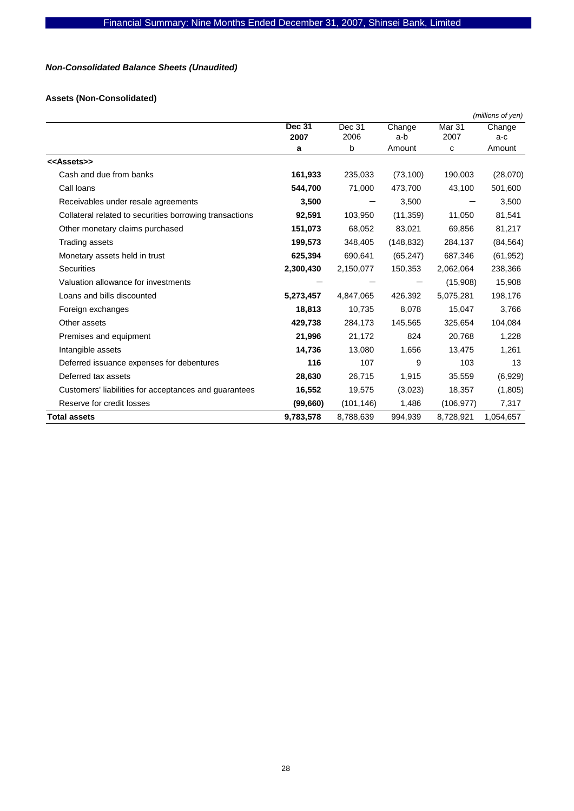## *Non-Consolidated Balance Sheets (Unaudited)*

## **Assets (Non-Consolidated)**

|                                                         |                       |                |               |                | (millions of yen) |
|---------------------------------------------------------|-----------------------|----------------|---------------|----------------|-------------------|
|                                                         | <b>Dec 31</b><br>2007 | Dec 31<br>2006 | Change<br>a-b | Mar 31<br>2007 | Change<br>a-c     |
|                                                         | a                     | b              | Amount        | с              | Amount            |
| < <assets>&gt;</assets>                                 |                       |                |               |                |                   |
| Cash and due from banks                                 | 161,933               | 235,033        | (73, 100)     | 190,003        | (28,070)          |
| Call loans                                              | 544,700               | 71,000         | 473,700       | 43,100         | 501,600           |
| Receivables under resale agreements                     | 3,500                 |                | 3,500         |                | 3,500             |
| Collateral related to securities borrowing transactions | 92,591                | 103,950        | (11, 359)     | 11,050         | 81,541            |
| Other monetary claims purchased                         | 151,073               | 68,052         | 83,021        | 69,856         | 81,217            |
| Trading assets                                          | 199,573               | 348,405        | (148, 832)    | 284,137        | (84, 564)         |
| Monetary assets held in trust                           | 625,394               | 690,641        | (65, 247)     | 687,346        | (61, 952)         |
| Securities                                              | 2,300,430             | 2,150,077      | 150,353       | 2,062,064      | 238,366           |
| Valuation allowance for investments                     |                       |                |               | (15,908)       | 15,908            |
| Loans and bills discounted                              | 5,273,457             | 4,847,065      | 426,392       | 5,075,281      | 198,176           |
| Foreign exchanges                                       | 18,813                | 10,735         | 8,078         | 15,047         | 3,766             |
| Other assets                                            | 429,738               | 284,173        | 145,565       | 325,654        | 104,084           |
| Premises and equipment                                  | 21,996                | 21,172         | 824           | 20,768         | 1,228             |
| Intangible assets                                       | 14,736                | 13,080         | 1,656         | 13,475         | 1,261             |
| Deferred issuance expenses for debentures               | 116                   | 107            | 9             | 103            | 13                |
| Deferred tax assets                                     | 28,630                | 26,715         | 1,915         | 35,559         | (6,929)           |
| Customers' liabilities for acceptances and guarantees   | 16,552                | 19,575         | (3,023)       | 18,357         | (1,805)           |
| Reserve for credit losses                               | (99, 660)             | (101, 146)     | 1,486         | (106, 977)     | 7,317             |
| <b>Total assets</b>                                     | 9,783,578             | 8,788,639      | 994,939       | 8,728,921      | 1,054,657         |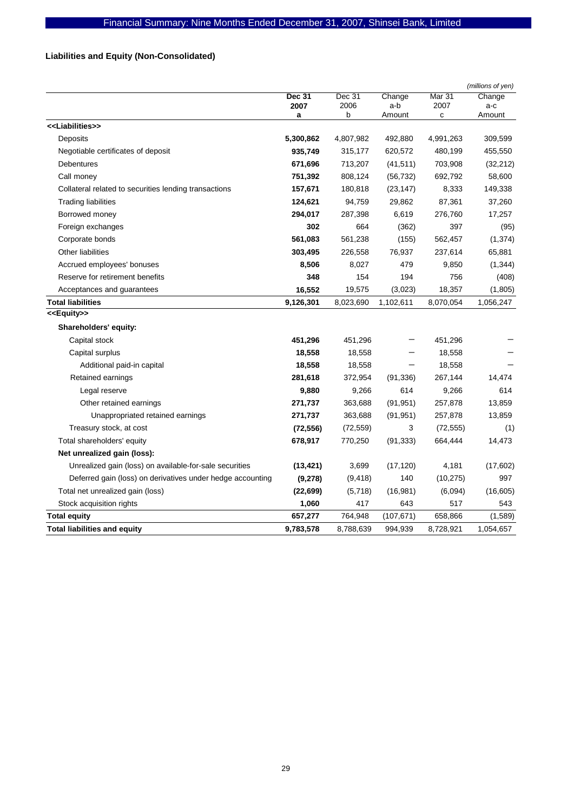## **Liabilities and Equity (Non-Consolidated)**

|                                                            |               |           |            |           | (millions of yen) |
|------------------------------------------------------------|---------------|-----------|------------|-----------|-------------------|
|                                                            | <b>Dec 31</b> | Dec 31    | Change     | Mar 31    | Change            |
|                                                            | 2007          | 2006      | a-b        | 2007      | a-c               |
| < <liabilities>&gt;</liabilities>                          | a             | b         | Amount     | с         | Amount            |
|                                                            |               |           |            |           |                   |
| Deposits                                                   | 5,300,862     | 4,807,982 | 492,880    | 4,991,263 | 309,599           |
| Negotiable certificates of deposit                         | 935,749       | 315,177   | 620,572    | 480,199   | 455,550           |
| <b>Debentures</b>                                          | 671,696       | 713,207   | (41, 511)  | 703,908   | (32, 212)         |
| Call money                                                 | 751,392       | 808,124   | (56, 732)  | 692,792   | 58,600            |
| Collateral related to securities lending transactions      | 157,671       | 180,818   | (23, 147)  | 8,333     | 149,338           |
| <b>Trading liabilities</b>                                 | 124,621       | 94,759    | 29,862     | 87,361    | 37,260            |
| Borrowed money                                             | 294,017       | 287,398   | 6,619      | 276,760   | 17,257            |
| Foreign exchanges                                          | 302           | 664       | (362)      | 397       | (95)              |
| Corporate bonds                                            | 561,083       | 561,238   | (155)      | 562,457   | (1, 374)          |
| Other liabilities                                          | 303,495       | 226,558   | 76,937     | 237,614   | 65,881            |
| Accrued employees' bonuses                                 | 8,506         | 8,027     | 479        | 9,850     | (1, 344)          |
| Reserve for retirement benefits                            | 348           | 154       | 194        | 756       | (408)             |
| Acceptances and guarantees                                 | 16,552        | 19,575    | (3,023)    | 18,357    | (1,805)           |
| <b>Total liabilities</b>                                   | 9,126,301     | 8,023,690 | 1,102,611  | 8,070,054 | 1,056,247         |
| < <equity>&gt;</equity>                                    |               |           |            |           |                   |
| Shareholders' equity:                                      |               |           |            |           |                   |
| Capital stock                                              | 451,296       | 451,296   |            | 451,296   |                   |
| Capital surplus                                            | 18,558        | 18,558    |            | 18,558    |                   |
| Additional paid-in capital                                 | 18,558        | 18,558    |            | 18,558    |                   |
| Retained earnings                                          | 281,618       | 372,954   | (91, 336)  | 267,144   | 14,474            |
| Legal reserve                                              | 9,880         | 9,266     | 614        | 9,266     | 614               |
| Other retained earnings                                    | 271,737       | 363,688   | (91, 951)  | 257,878   | 13,859            |
| Unappropriated retained earnings                           | 271,737       | 363,688   | (91, 951)  | 257,878   | 13,859            |
| Treasury stock, at cost                                    | (72, 556)     | (72, 559) | 3          | (72, 555) | (1)               |
| Total shareholders' equity                                 | 678,917       | 770,250   | (91, 333)  | 664,444   | 14,473            |
| Net unrealized gain (loss):                                |               |           |            |           |                   |
| Unrealized gain (loss) on available-for-sale securities    | (13, 421)     | 3,699     | (17, 120)  | 4,181     | (17,602)          |
| Deferred gain (loss) on derivatives under hedge accounting | (9,278)       | (9, 418)  | 140        | (10, 275) | 997               |
| Total net unrealized gain (loss)                           | (22, 699)     | (5,718)   | (16, 981)  | (6,094)   | (16, 605)         |
| Stock acquisition rights                                   | 1,060         | 417       | 643        | 517       | 543               |
| <b>Total equity</b>                                        | 657,277       | 764,948   | (107, 671) | 658,866   | (1,589)           |
| <b>Total liabilities and equity</b>                        | 9,783,578     | 8,788,639 | 994,939    | 8,728,921 | 1,054,657         |